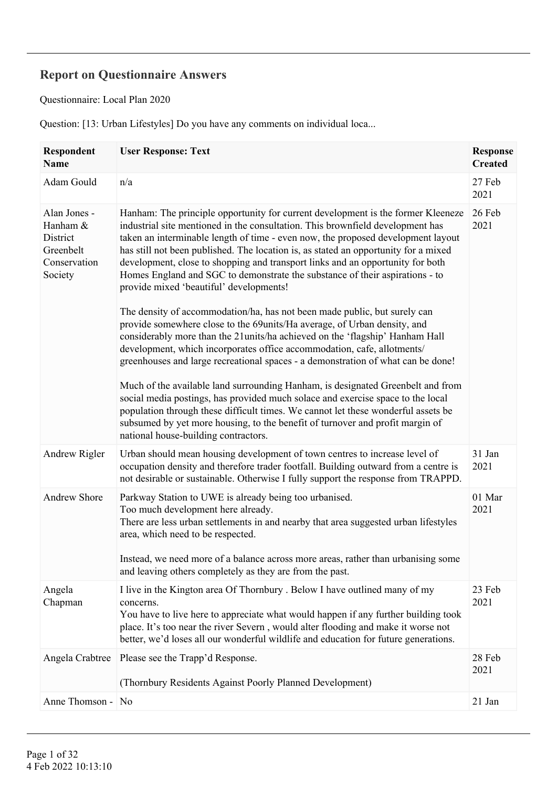## **Report on Questionnaire Answers**

Questionnaire: Local Plan 2020

Question: [13: Urban Lifestyles] Do you have any comments on individual loca...

| <b>Respondent</b><br>Name                                                    | <b>User Response: Text</b>                                                                                                                                                                                                                                                                                                                                                                                                                                                                                                                                                                                                                                                                                                                                                                                                                                                                                                                                                                                                                                                                                                                                                                                                     | <b>Response</b><br><b>Created</b> |
|------------------------------------------------------------------------------|--------------------------------------------------------------------------------------------------------------------------------------------------------------------------------------------------------------------------------------------------------------------------------------------------------------------------------------------------------------------------------------------------------------------------------------------------------------------------------------------------------------------------------------------------------------------------------------------------------------------------------------------------------------------------------------------------------------------------------------------------------------------------------------------------------------------------------------------------------------------------------------------------------------------------------------------------------------------------------------------------------------------------------------------------------------------------------------------------------------------------------------------------------------------------------------------------------------------------------|-----------------------------------|
| Adam Gould                                                                   | n/a                                                                                                                                                                                                                                                                                                                                                                                                                                                                                                                                                                                                                                                                                                                                                                                                                                                                                                                                                                                                                                                                                                                                                                                                                            | 27 Feb<br>2021                    |
| Alan Jones -<br>Hanham &<br>District<br>Greenbelt<br>Conservation<br>Society | Hanham: The principle opportunity for current development is the former Kleeneze<br>industrial site mentioned in the consultation. This brownfield development has<br>taken an interminable length of time - even now, the proposed development layout<br>has still not been published. The location is, as stated an opportunity for a mixed<br>development, close to shopping and transport links and an opportunity for both<br>Homes England and SGC to demonstrate the substance of their aspirations - to<br>provide mixed 'beautiful' developments!<br>The density of accommodation/ha, has not been made public, but surely can<br>provide somewhere close to the 69units/Ha average, of Urban density, and<br>considerably more than the 21 units/ha achieved on the 'flagship' Hanham Hall<br>development, which incorporates office accommodation, cafe, allotments/<br>greenhouses and large recreational spaces - a demonstration of what can be done!<br>Much of the available land surrounding Hanham, is designated Greenbelt and from<br>social media postings, has provided much solace and exercise space to the local<br>population through these difficult times. We cannot let these wonderful assets be | 26 Feb<br>2021                    |
|                                                                              | subsumed by yet more housing, to the benefit of turnover and profit margin of<br>national house-building contractors.                                                                                                                                                                                                                                                                                                                                                                                                                                                                                                                                                                                                                                                                                                                                                                                                                                                                                                                                                                                                                                                                                                          |                                   |
| Andrew Rigler                                                                | Urban should mean housing development of town centres to increase level of<br>occupation density and therefore trader footfall. Building outward from a centre is<br>not desirable or sustainable. Otherwise I fully support the response from TRAPPD.                                                                                                                                                                                                                                                                                                                                                                                                                                                                                                                                                                                                                                                                                                                                                                                                                                                                                                                                                                         | 31 Jan<br>2021                    |
| <b>Andrew Shore</b>                                                          | Parkway Station to UWE is already being too urbanised.<br>Too much development here already.<br>There are less urban settlements in and nearby that area suggested urban lifestyles<br>area, which need to be respected.<br>Instead, we need more of a balance across more areas, rather than urbanising some<br>and leaving others completely as they are from the past.                                                                                                                                                                                                                                                                                                                                                                                                                                                                                                                                                                                                                                                                                                                                                                                                                                                      | 01 Mar<br>2021                    |
| Angela<br>Chapman                                                            | I live in the Kington area Of Thornbury . Below I have outlined many of my<br>concerns.<br>You have to live here to appreciate what would happen if any further building took<br>place. It's too near the river Severn, would alter flooding and make it worse not<br>better, we'd loses all our wonderful wildlife and education for future generations.                                                                                                                                                                                                                                                                                                                                                                                                                                                                                                                                                                                                                                                                                                                                                                                                                                                                      | 23 Feb<br>2021                    |
| Angela Crabtree                                                              | Please see the Trapp'd Response.<br>(Thornbury Residents Against Poorly Planned Development)                                                                                                                                                                                                                                                                                                                                                                                                                                                                                                                                                                                                                                                                                                                                                                                                                                                                                                                                                                                                                                                                                                                                   | 28 Feb<br>2021                    |
| Anne Thomson -                                                               | N <sub>0</sub>                                                                                                                                                                                                                                                                                                                                                                                                                                                                                                                                                                                                                                                                                                                                                                                                                                                                                                                                                                                                                                                                                                                                                                                                                 | 21 Jan                            |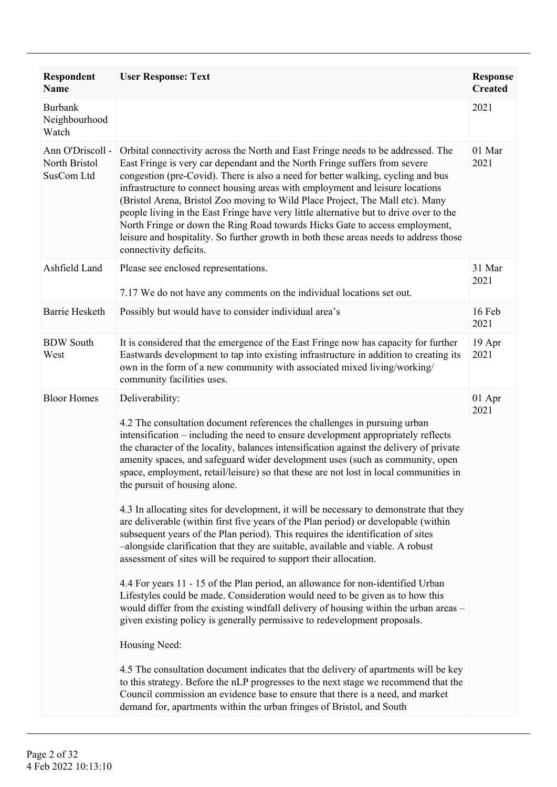| <b>Respondent</b><br><b>Name</b>                | <b>User Response: Text</b>                                                                                                                                                                                                                                                                                                                                                                                                                                                                                                                                                                                                                                                                                                                                                                                                                                                                                                                                                                                                                                                                                                                                                                                                                                                                                                                                                                                                                                                                                                                                                                                             | <b>Response</b><br><b>Created</b> |
|-------------------------------------------------|------------------------------------------------------------------------------------------------------------------------------------------------------------------------------------------------------------------------------------------------------------------------------------------------------------------------------------------------------------------------------------------------------------------------------------------------------------------------------------------------------------------------------------------------------------------------------------------------------------------------------------------------------------------------------------------------------------------------------------------------------------------------------------------------------------------------------------------------------------------------------------------------------------------------------------------------------------------------------------------------------------------------------------------------------------------------------------------------------------------------------------------------------------------------------------------------------------------------------------------------------------------------------------------------------------------------------------------------------------------------------------------------------------------------------------------------------------------------------------------------------------------------------------------------------------------------------------------------------------------------|-----------------------------------|
| <b>Burbank</b><br>Neighbourhood<br>Watch        |                                                                                                                                                                                                                                                                                                                                                                                                                                                                                                                                                                                                                                                                                                                                                                                                                                                                                                                                                                                                                                                                                                                                                                                                                                                                                                                                                                                                                                                                                                                                                                                                                        | 2021                              |
| Ann O'Driscoll -<br>North Bristol<br>SusCom Ltd | Orbital connectivity across the North and East Fringe needs to be addressed. The<br>East Fringe is very car dependant and the North Fringe suffers from severe<br>congestion (pre-Covid). There is also a need for better walking, cycling and bus<br>infrastructure to connect housing areas with employment and leisure locations<br>(Bristol Arena, Bristol Zoo moving to Wild Place Project, The Mall etc). Many<br>people living in the East Fringe have very little alternative but to drive over to the<br>North Fringe or down the Ring Road towards Hicks Gate to access employment,<br>leisure and hospitality. So further growth in both these areas needs to address those<br>connectivity deficits.                                                                                                                                                                                                                                                                                                                                                                                                                                                                                                                                                                                                                                                                                                                                                                                                                                                                                                       | 01 Mar<br>2021                    |
| Ashfield Land                                   | Please see enclosed representations.<br>7.17 We do not have any comments on the individual locations set out.                                                                                                                                                                                                                                                                                                                                                                                                                                                                                                                                                                                                                                                                                                                                                                                                                                                                                                                                                                                                                                                                                                                                                                                                                                                                                                                                                                                                                                                                                                          | 31 Mar<br>2021                    |
| <b>Barrie Hesketh</b>                           | Possibly but would have to consider individual area's                                                                                                                                                                                                                                                                                                                                                                                                                                                                                                                                                                                                                                                                                                                                                                                                                                                                                                                                                                                                                                                                                                                                                                                                                                                                                                                                                                                                                                                                                                                                                                  | 16 Feb<br>2021                    |
| <b>BDW</b> South<br>West                        | It is considered that the emergence of the East Fringe now has capacity for further<br>Eastwards development to tap into existing infrastructure in addition to creating its<br>own in the form of a new community with associated mixed living/working/<br>community facilities uses.                                                                                                                                                                                                                                                                                                                                                                                                                                                                                                                                                                                                                                                                                                                                                                                                                                                                                                                                                                                                                                                                                                                                                                                                                                                                                                                                 | 19 Apr<br>2021                    |
| <b>Bloor Homes</b>                              | Deliverability:<br>4.2 The consultation document references the challenges in pursuing urban<br>intensification – including the need to ensure development appropriately reflects<br>the character of the locality, balances intensification against the delivery of private<br>amenity spaces, and safeguard wider development uses (such as community, open<br>space, employment, retail/leisure) so that these are not lost in local communities in<br>the pursuit of housing alone.<br>4.3 In allocating sites for development, it will be necessary to demonstrate that they<br>are deliverable (within first five years of the Plan period) or developable (within<br>subsequent years of the Plan period). This requires the identification of sites<br>-alongside clarification that they are suitable, available and viable. A robust<br>assessment of sites will be required to support their allocation.<br>4.4 For years 11 - 15 of the Plan period, an allowance for non-identified Urban<br>Lifestyles could be made. Consideration would need to be given as to how this<br>would differ from the existing windfall delivery of housing within the urban areas -<br>given existing policy is generally permissive to redevelopment proposals.<br>Housing Need:<br>4.5 The consultation document indicates that the delivery of apartments will be key<br>to this strategy. Before the nLP progresses to the next stage we recommend that the<br>Council commission an evidence base to ensure that there is a need, and market<br>demand for, apartments within the urban fringes of Bristol, and South | 01 Apr<br>2021                    |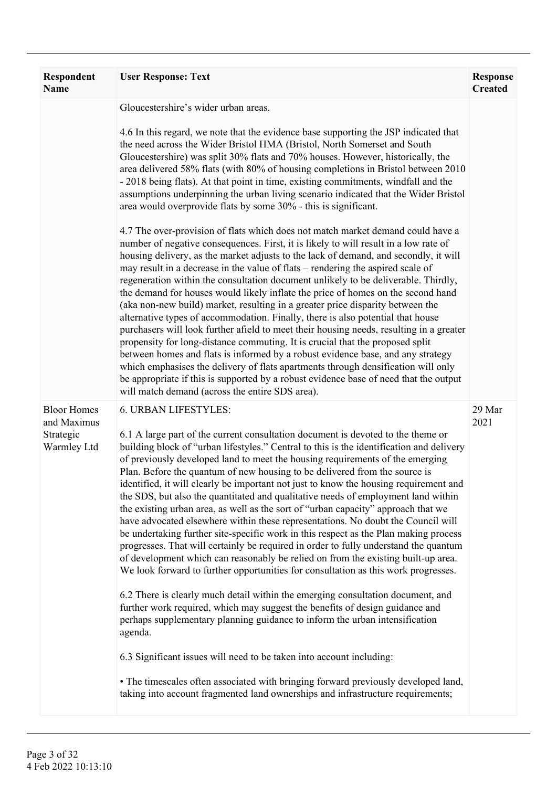| Respondent<br><b>Name</b>                                     | <b>User Response: Text</b>                                                                                                                                                                                                                                                                                                                                                                                                                                                                                                                                                                                                                                                                                                                                                                                                                                                                                                                                                                                                                                                                                                                                                                                                                                                                                                                                                                                                 | <b>Response</b><br><b>Created</b> |
|---------------------------------------------------------------|----------------------------------------------------------------------------------------------------------------------------------------------------------------------------------------------------------------------------------------------------------------------------------------------------------------------------------------------------------------------------------------------------------------------------------------------------------------------------------------------------------------------------------------------------------------------------------------------------------------------------------------------------------------------------------------------------------------------------------------------------------------------------------------------------------------------------------------------------------------------------------------------------------------------------------------------------------------------------------------------------------------------------------------------------------------------------------------------------------------------------------------------------------------------------------------------------------------------------------------------------------------------------------------------------------------------------------------------------------------------------------------------------------------------------|-----------------------------------|
|                                                               | Gloucestershire's wider urban areas.                                                                                                                                                                                                                                                                                                                                                                                                                                                                                                                                                                                                                                                                                                                                                                                                                                                                                                                                                                                                                                                                                                                                                                                                                                                                                                                                                                                       |                                   |
|                                                               | 4.6 In this regard, we note that the evidence base supporting the JSP indicated that<br>the need across the Wider Bristol HMA (Bristol, North Somerset and South<br>Gloucestershire) was split 30% flats and 70% houses. However, historically, the<br>area delivered 58% flats (with 80% of housing completions in Bristol between 2010<br>- 2018 being flats). At that point in time, existing commitments, windfall and the<br>assumptions underpinning the urban living scenario indicated that the Wider Bristol<br>area would overprovide flats by some 30% - this is significant.                                                                                                                                                                                                                                                                                                                                                                                                                                                                                                                                                                                                                                                                                                                                                                                                                                   |                                   |
|                                                               | 4.7 The over-provision of flats which does not match market demand could have a<br>number of negative consequences. First, it is likely to will result in a low rate of<br>housing delivery, as the market adjusts to the lack of demand, and secondly, it will<br>may result in a decrease in the value of flats – rendering the aspired scale of<br>regeneration within the consultation document unlikely to be deliverable. Thirdly,<br>the demand for houses would likely inflate the price of homes on the second hand<br>(aka non-new build) market, resulting in a greater price disparity between the<br>alternative types of accommodation. Finally, there is also potential that house<br>purchasers will look further afield to meet their housing needs, resulting in a greater<br>propensity for long-distance commuting. It is crucial that the proposed split<br>between homes and flats is informed by a robust evidence base, and any strategy<br>which emphasises the delivery of flats apartments through densification will only<br>be appropriate if this is supported by a robust evidence base of need that the output<br>will match demand (across the entire SDS area).                                                                                                                                                                                                                          |                                   |
| <b>Bloor Homes</b><br>and Maximus<br>Strategic<br>Warmley Ltd | 6. URBAN LIFESTYLES:<br>6.1 A large part of the current consultation document is devoted to the theme or<br>building block of "urban lifestyles." Central to this is the identification and delivery<br>of previously developed land to meet the housing requirements of the emerging<br>Plan. Before the quantum of new housing to be delivered from the source is<br>identified, it will clearly be important not just to know the housing requirement and<br>the SDS, but also the quantitated and qualitative needs of employment land within<br>the existing urban area, as well as the sort of "urban capacity" approach that we<br>have advocated elsewhere within these representations. No doubt the Council will<br>be undertaking further site-specific work in this respect as the Plan making process<br>progresses. That will certainly be required in order to fully understand the quantum<br>of development which can reasonably be relied on from the existing built-up area.<br>We look forward to further opportunities for consultation as this work progresses.<br>6.2 There is clearly much detail within the emerging consultation document, and<br>further work required, which may suggest the benefits of design guidance and<br>perhaps supplementary planning guidance to inform the urban intensification<br>agenda.<br>6.3 Significant issues will need to be taken into account including: | 29 Mar<br>2021                    |
|                                                               | • The timescales often associated with bringing forward previously developed land,<br>taking into account fragmented land ownerships and infrastructure requirements;                                                                                                                                                                                                                                                                                                                                                                                                                                                                                                                                                                                                                                                                                                                                                                                                                                                                                                                                                                                                                                                                                                                                                                                                                                                      |                                   |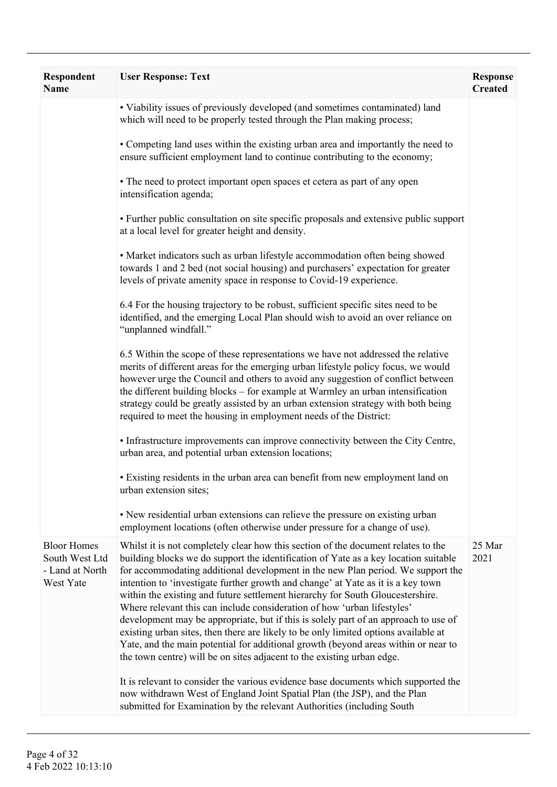| Respondent<br><b>Name</b>                                            | <b>User Response: Text</b>                                                                                                                                                                                                                                                                                                                                                                                                                                                                                                                                                                                                                                                                                                                                                                                                                                 | <b>Response</b><br><b>Created</b> |
|----------------------------------------------------------------------|------------------------------------------------------------------------------------------------------------------------------------------------------------------------------------------------------------------------------------------------------------------------------------------------------------------------------------------------------------------------------------------------------------------------------------------------------------------------------------------------------------------------------------------------------------------------------------------------------------------------------------------------------------------------------------------------------------------------------------------------------------------------------------------------------------------------------------------------------------|-----------------------------------|
|                                                                      | • Viability issues of previously developed (and sometimes contaminated) land<br>which will need to be properly tested through the Plan making process;                                                                                                                                                                                                                                                                                                                                                                                                                                                                                                                                                                                                                                                                                                     |                                   |
|                                                                      | • Competing land uses within the existing urban area and importantly the need to<br>ensure sufficient employment land to continue contributing to the economy;                                                                                                                                                                                                                                                                                                                                                                                                                                                                                                                                                                                                                                                                                             |                                   |
|                                                                      | • The need to protect important open spaces et cetera as part of any open<br>intensification agenda;                                                                                                                                                                                                                                                                                                                                                                                                                                                                                                                                                                                                                                                                                                                                                       |                                   |
|                                                                      | • Further public consultation on site specific proposals and extensive public support<br>at a local level for greater height and density.                                                                                                                                                                                                                                                                                                                                                                                                                                                                                                                                                                                                                                                                                                                  |                                   |
|                                                                      | • Market indicators such as urban lifestyle accommodation often being showed<br>towards 1 and 2 bed (not social housing) and purchasers' expectation for greater<br>levels of private amenity space in response to Covid-19 experience.                                                                                                                                                                                                                                                                                                                                                                                                                                                                                                                                                                                                                    |                                   |
|                                                                      | 6.4 For the housing trajectory to be robust, sufficient specific sites need to be<br>identified, and the emerging Local Plan should wish to avoid an over reliance on<br>"unplanned windfall."                                                                                                                                                                                                                                                                                                                                                                                                                                                                                                                                                                                                                                                             |                                   |
|                                                                      | 6.5 Within the scope of these representations we have not addressed the relative<br>merits of different areas for the emerging urban lifestyle policy focus, we would<br>however urge the Council and others to avoid any suggestion of conflict between<br>the different building blocks – for example at Warmley an urban intensification<br>strategy could be greatly assisted by an urban extension strategy with both being<br>required to meet the housing in employment needs of the District:                                                                                                                                                                                                                                                                                                                                                      |                                   |
|                                                                      | • Infrastructure improvements can improve connectivity between the City Centre,<br>urban area, and potential urban extension locations;                                                                                                                                                                                                                                                                                                                                                                                                                                                                                                                                                                                                                                                                                                                    |                                   |
|                                                                      | • Existing residents in the urban area can benefit from new employment land on<br>urban extension sites;                                                                                                                                                                                                                                                                                                                                                                                                                                                                                                                                                                                                                                                                                                                                                   |                                   |
|                                                                      | • New residential urban extensions can relieve the pressure on existing urban<br>employment locations (often otherwise under pressure for a change of use).                                                                                                                                                                                                                                                                                                                                                                                                                                                                                                                                                                                                                                                                                                |                                   |
| <b>Bloor Homes</b><br>South West Ltd<br>- Land at North<br>West Yate | Whilst it is not completely clear how this section of the document relates to the<br>building blocks we do support the identification of Yate as a key location suitable<br>for accommodating additional development in the new Plan period. We support the<br>intention to 'investigate further growth and change' at Yate as it is a key town<br>within the existing and future settlement hierarchy for South Gloucestershire.<br>Where relevant this can include consideration of how 'urban lifestyles'<br>development may be appropriate, but if this is solely part of an approach to use of<br>existing urban sites, then there are likely to be only limited options available at<br>Yate, and the main potential for additional growth (beyond areas within or near to<br>the town centre) will be on sites adjacent to the existing urban edge. | 25 Mar<br>2021                    |
|                                                                      | It is relevant to consider the various evidence base documents which supported the<br>now withdrawn West of England Joint Spatial Plan (the JSP), and the Plan<br>submitted for Examination by the relevant Authorities (including South                                                                                                                                                                                                                                                                                                                                                                                                                                                                                                                                                                                                                   |                                   |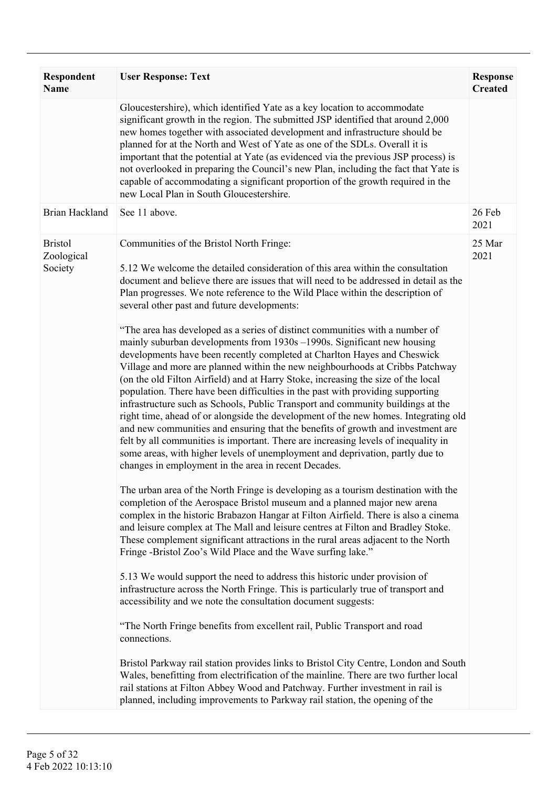| Respondent<br><b>Name</b>               | <b>User Response: Text</b>                                                                                                                                                                                                                                                                                                                                                                                                                                                                                                                                                                                                                                                                                                                                                                                                                                                                                                                                                                                                                                                                                                                                                                                                                                                                                                                                                                                                                                                                                                                                                                                                                                                                                                                                                                                                                                                                                                                                                                                                                                                                                                                                                                                                                                                                                                                                                                                                                                                                                                           | <b>Response</b><br><b>Created</b> |
|-----------------------------------------|--------------------------------------------------------------------------------------------------------------------------------------------------------------------------------------------------------------------------------------------------------------------------------------------------------------------------------------------------------------------------------------------------------------------------------------------------------------------------------------------------------------------------------------------------------------------------------------------------------------------------------------------------------------------------------------------------------------------------------------------------------------------------------------------------------------------------------------------------------------------------------------------------------------------------------------------------------------------------------------------------------------------------------------------------------------------------------------------------------------------------------------------------------------------------------------------------------------------------------------------------------------------------------------------------------------------------------------------------------------------------------------------------------------------------------------------------------------------------------------------------------------------------------------------------------------------------------------------------------------------------------------------------------------------------------------------------------------------------------------------------------------------------------------------------------------------------------------------------------------------------------------------------------------------------------------------------------------------------------------------------------------------------------------------------------------------------------------------------------------------------------------------------------------------------------------------------------------------------------------------------------------------------------------------------------------------------------------------------------------------------------------------------------------------------------------------------------------------------------------------------------------------------------------|-----------------------------------|
|                                         | Gloucestershire), which identified Yate as a key location to accommodate<br>significant growth in the region. The submitted JSP identified that around 2,000<br>new homes together with associated development and infrastructure should be<br>planned for at the North and West of Yate as one of the SDLs. Overall it is<br>important that the potential at Yate (as evidenced via the previous JSP process) is<br>not overlooked in preparing the Council's new Plan, including the fact that Yate is<br>capable of accommodating a significant proportion of the growth required in the<br>new Local Plan in South Gloucestershire.                                                                                                                                                                                                                                                                                                                                                                                                                                                                                                                                                                                                                                                                                                                                                                                                                                                                                                                                                                                                                                                                                                                                                                                                                                                                                                                                                                                                                                                                                                                                                                                                                                                                                                                                                                                                                                                                                              |                                   |
| <b>Brian Hackland</b>                   | See 11 above.                                                                                                                                                                                                                                                                                                                                                                                                                                                                                                                                                                                                                                                                                                                                                                                                                                                                                                                                                                                                                                                                                                                                                                                                                                                                                                                                                                                                                                                                                                                                                                                                                                                                                                                                                                                                                                                                                                                                                                                                                                                                                                                                                                                                                                                                                                                                                                                                                                                                                                                        | 26 Feb<br>2021                    |
| <b>Bristol</b><br>Zoological<br>Society | Communities of the Bristol North Fringe:<br>5.12 We welcome the detailed consideration of this area within the consultation<br>document and believe there are issues that will need to be addressed in detail as the<br>Plan progresses. We note reference to the Wild Place within the description of<br>several other past and future developments:<br>"The area has developed as a series of distinct communities with a number of<br>mainly suburban developments from 1930s -1990s. Significant new housing<br>developments have been recently completed at Charlton Hayes and Cheswick<br>Village and more are planned within the new neighbourhoods at Cribbs Patchway<br>(on the old Filton Airfield) and at Harry Stoke, increasing the size of the local<br>population. There have been difficulties in the past with providing supporting<br>infrastructure such as Schools, Public Transport and community buildings at the<br>right time, ahead of or alongside the development of the new homes. Integrating old<br>and new communities and ensuring that the benefits of growth and investment are<br>felt by all communities is important. There are increasing levels of inequality in<br>some areas, with higher levels of unemployment and deprivation, partly due to<br>changes in employment in the area in recent Decades.<br>The urban area of the North Fringe is developing as a tourism destination with the<br>completion of the Aerospace Bristol museum and a planned major new arena<br>complex in the historic Brabazon Hangar at Filton Airfield. There is also a cinema<br>and leisure complex at The Mall and leisure centres at Filton and Bradley Stoke.<br>These complement significant attractions in the rural areas adjacent to the North<br>Fringe -Bristol Zoo's Wild Place and the Wave surfing lake."<br>5.13 We would support the need to address this historic under provision of<br>infrastructure across the North Fringe. This is particularly true of transport and<br>accessibility and we note the consultation document suggests:<br>"The North Fringe benefits from excellent rail, Public Transport and road<br>connections.<br>Bristol Parkway rail station provides links to Bristol City Centre, London and South<br>Wales, benefitting from electrification of the mainline. There are two further local<br>rail stations at Filton Abbey Wood and Patchway. Further investment in rail is<br>planned, including improvements to Parkway rail station, the opening of the | 25 Mar<br>2021                    |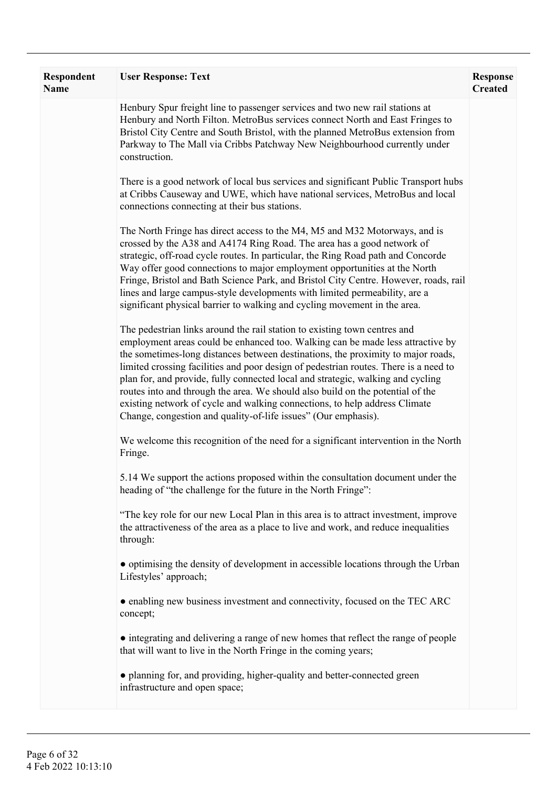| Respondent<br><b>Name</b> | <b>User Response: Text</b>                                                                                                                                                                                                                                                                                                                                                                                                                                                                                                                                                                                                                                   | <b>Response</b><br><b>Created</b> |
|---------------------------|--------------------------------------------------------------------------------------------------------------------------------------------------------------------------------------------------------------------------------------------------------------------------------------------------------------------------------------------------------------------------------------------------------------------------------------------------------------------------------------------------------------------------------------------------------------------------------------------------------------------------------------------------------------|-----------------------------------|
|                           | Henbury Spur freight line to passenger services and two new rail stations at<br>Henbury and North Filton. MetroBus services connect North and East Fringes to<br>Bristol City Centre and South Bristol, with the planned MetroBus extension from<br>Parkway to The Mall via Cribbs Patchway New Neighbourhood currently under<br>construction.                                                                                                                                                                                                                                                                                                               |                                   |
|                           | There is a good network of local bus services and significant Public Transport hubs<br>at Cribbs Causeway and UWE, which have national services, MetroBus and local<br>connections connecting at their bus stations.                                                                                                                                                                                                                                                                                                                                                                                                                                         |                                   |
|                           | The North Fringe has direct access to the M4, M5 and M32 Motorways, and is<br>crossed by the A38 and A4174 Ring Road. The area has a good network of<br>strategic, off-road cycle routes. In particular, the Ring Road path and Concorde<br>Way offer good connections to major employment opportunities at the North<br>Fringe, Bristol and Bath Science Park, and Bristol City Centre. However, roads, rail<br>lines and large campus-style developments with limited permeability, are a<br>significant physical barrier to walking and cycling movement in the area.                                                                                     |                                   |
|                           | The pedestrian links around the rail station to existing town centres and<br>employment areas could be enhanced too. Walking can be made less attractive by<br>the sometimes-long distances between destinations, the proximity to major roads,<br>limited crossing facilities and poor design of pedestrian routes. There is a need to<br>plan for, and provide, fully connected local and strategic, walking and cycling<br>routes into and through the area. We should also build on the potential of the<br>existing network of cycle and walking connections, to help address Climate<br>Change, congestion and quality-of-life issues" (Our emphasis). |                                   |
|                           | We welcome this recognition of the need for a significant intervention in the North<br>Fringe.                                                                                                                                                                                                                                                                                                                                                                                                                                                                                                                                                               |                                   |
|                           | 5.14 We support the actions proposed within the consultation document under the<br>heading of "the challenge for the future in the North Fringe":                                                                                                                                                                                                                                                                                                                                                                                                                                                                                                            |                                   |
|                           | "The key role for our new Local Plan in this area is to attract investment, improve<br>the attractiveness of the area as a place to live and work, and reduce inequalities<br>through:                                                                                                                                                                                                                                                                                                                                                                                                                                                                       |                                   |
|                           | • optimising the density of development in accessible locations through the Urban<br>Lifestyles' approach;                                                                                                                                                                                                                                                                                                                                                                                                                                                                                                                                                   |                                   |
|                           | • enabling new business investment and connectivity, focused on the TEC ARC<br>concept;                                                                                                                                                                                                                                                                                                                                                                                                                                                                                                                                                                      |                                   |
|                           | • integrating and delivering a range of new homes that reflect the range of people<br>that will want to live in the North Fringe in the coming years;                                                                                                                                                                                                                                                                                                                                                                                                                                                                                                        |                                   |
|                           | • planning for, and providing, higher-quality and better-connected green<br>infrastructure and open space;                                                                                                                                                                                                                                                                                                                                                                                                                                                                                                                                                   |                                   |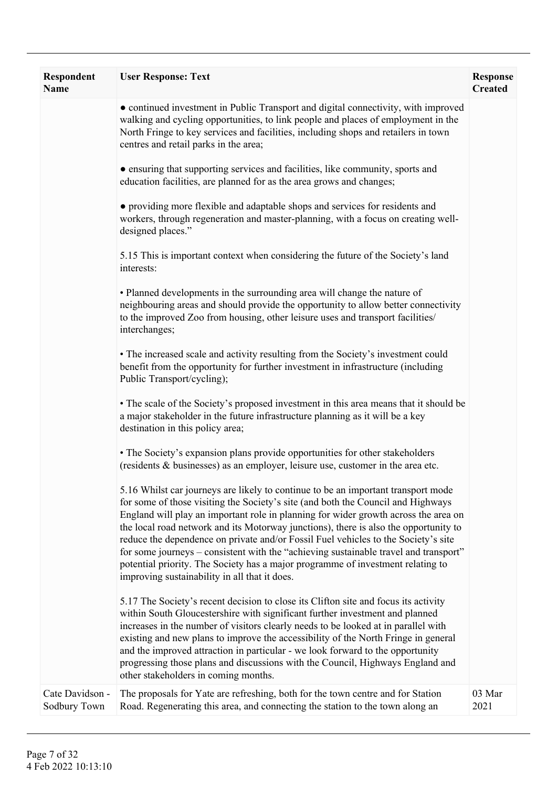| <b>Respondent</b><br>Name       | <b>User Response: Text</b>                                                                                                                                                                                                                                                                                                                                                                                                                                                                                                                                                                                                                                             | <b>Response</b><br><b>Created</b> |
|---------------------------------|------------------------------------------------------------------------------------------------------------------------------------------------------------------------------------------------------------------------------------------------------------------------------------------------------------------------------------------------------------------------------------------------------------------------------------------------------------------------------------------------------------------------------------------------------------------------------------------------------------------------------------------------------------------------|-----------------------------------|
|                                 | • continued investment in Public Transport and digital connectivity, with improved<br>walking and cycling opportunities, to link people and places of employment in the<br>North Fringe to key services and facilities, including shops and retailers in town<br>centres and retail parks in the area;                                                                                                                                                                                                                                                                                                                                                                 |                                   |
|                                 | • ensuring that supporting services and facilities, like community, sports and<br>education facilities, are planned for as the area grows and changes;                                                                                                                                                                                                                                                                                                                                                                                                                                                                                                                 |                                   |
|                                 | • providing more flexible and adaptable shops and services for residents and<br>workers, through regeneration and master-planning, with a focus on creating well-<br>designed places."                                                                                                                                                                                                                                                                                                                                                                                                                                                                                 |                                   |
|                                 | 5.15 This is important context when considering the future of the Society's land<br>interests:                                                                                                                                                                                                                                                                                                                                                                                                                                                                                                                                                                         |                                   |
|                                 | • Planned developments in the surrounding area will change the nature of<br>neighbouring areas and should provide the opportunity to allow better connectivity<br>to the improved Zoo from housing, other leisure uses and transport facilities/<br>interchanges;                                                                                                                                                                                                                                                                                                                                                                                                      |                                   |
|                                 | • The increased scale and activity resulting from the Society's investment could<br>benefit from the opportunity for further investment in infrastructure (including<br>Public Transport/cycling);                                                                                                                                                                                                                                                                                                                                                                                                                                                                     |                                   |
|                                 | • The scale of the Society's proposed investment in this area means that it should be<br>a major stakeholder in the future infrastructure planning as it will be a key<br>destination in this policy area;                                                                                                                                                                                                                                                                                                                                                                                                                                                             |                                   |
|                                 | • The Society's expansion plans provide opportunities for other stakeholders<br>(residents & businesses) as an employer, leisure use, customer in the area etc.                                                                                                                                                                                                                                                                                                                                                                                                                                                                                                        |                                   |
|                                 | 5.16 Whilst car journeys are likely to continue to be an important transport mode<br>for some of those visiting the Society's site (and both the Council and Highways<br>England will play an important role in planning for wider growth across the area on<br>the local road network and its Motorway junctions), there is also the opportunity to<br>reduce the dependence on private and/or Fossil Fuel vehicles to the Society's site<br>for some journeys – consistent with the "achieving sustainable travel and transport"<br>potential priority. The Society has a major programme of investment relating to<br>improving sustainability in all that it does. |                                   |
|                                 | 5.17 The Society's recent decision to close its Clifton site and focus its activity<br>within South Gloucestershire with significant further investment and planned<br>increases in the number of visitors clearly needs to be looked at in parallel with<br>existing and new plans to improve the accessibility of the North Fringe in general<br>and the improved attraction in particular - we look forward to the opportunity<br>progressing those plans and discussions with the Council, Highways England and<br>other stakeholders in coming months.                                                                                                            |                                   |
| Cate Davidson -<br>Sodbury Town | The proposals for Yate are refreshing, both for the town centre and for Station<br>Road. Regenerating this area, and connecting the station to the town along an                                                                                                                                                                                                                                                                                                                                                                                                                                                                                                       | 03 Mar<br>2021                    |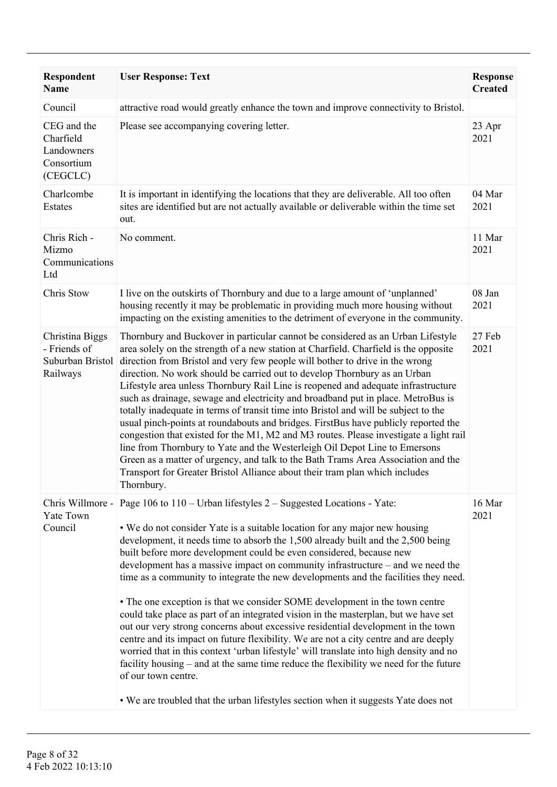| Respondent<br><b>Name</b>                                        | <b>User Response: Text</b>                                                                                                                                                                                                                                                                                                                                                                                                                                                                                                                                                                                                                                                                                                                                                                                                                                                                                                                                                                                                                                                                                                             | <b>Response</b><br><b>Created</b> |
|------------------------------------------------------------------|----------------------------------------------------------------------------------------------------------------------------------------------------------------------------------------------------------------------------------------------------------------------------------------------------------------------------------------------------------------------------------------------------------------------------------------------------------------------------------------------------------------------------------------------------------------------------------------------------------------------------------------------------------------------------------------------------------------------------------------------------------------------------------------------------------------------------------------------------------------------------------------------------------------------------------------------------------------------------------------------------------------------------------------------------------------------------------------------------------------------------------------|-----------------------------------|
| Council                                                          | attractive road would greatly enhance the town and improve connectivity to Bristol.                                                                                                                                                                                                                                                                                                                                                                                                                                                                                                                                                                                                                                                                                                                                                                                                                                                                                                                                                                                                                                                    |                                   |
| CEG and the<br>Charfield<br>Landowners<br>Consortium<br>(CEGCLC) | Please see accompanying covering letter.                                                                                                                                                                                                                                                                                                                                                                                                                                                                                                                                                                                                                                                                                                                                                                                                                                                                                                                                                                                                                                                                                               | 23 Apr<br>2021                    |
| Charlcombe<br>Estates                                            | It is important in identifying the locations that they are deliverable. All too often<br>sites are identified but are not actually available or deliverable within the time set<br>out.                                                                                                                                                                                                                                                                                                                                                                                                                                                                                                                                                                                                                                                                                                                                                                                                                                                                                                                                                | 04 Mar<br>2021                    |
| Chris Rich -<br>Mizmo<br>Communications<br>Ltd                   | No comment.                                                                                                                                                                                                                                                                                                                                                                                                                                                                                                                                                                                                                                                                                                                                                                                                                                                                                                                                                                                                                                                                                                                            | 11 Mar<br>2021                    |
| Chris Stow                                                       | I live on the outskirts of Thornbury and due to a large amount of 'unplanned'<br>housing recently it may be problematic in providing much more housing without<br>impacting on the existing amenities to the detriment of everyone in the community.                                                                                                                                                                                                                                                                                                                                                                                                                                                                                                                                                                                                                                                                                                                                                                                                                                                                                   | 08 Jan<br>2021                    |
| Christina Biggs<br>- Friends of<br>Suburban Bristol<br>Railways  | Thornbury and Buckover in particular cannot be considered as an Urban Lifestyle<br>area solely on the strength of a new station at Charfield. Charfield is the opposite<br>direction from Bristol and very few people will bother to drive in the wrong<br>direction. No work should be carried out to develop Thornbury as an Urban<br>Lifestyle area unless Thornbury Rail Line is reopened and adequate infrastructure<br>such as drainage, sewage and electricity and broadband put in place. MetroBus is<br>totally inadequate in terms of transit time into Bristol and will be subject to the<br>usual pinch-points at roundabouts and bridges. FirstBus have publicly reported the<br>congestion that existed for the M1, M2 and M3 routes. Please investigate a light rail<br>line from Thornbury to Yate and the Westerleigh Oil Depot Line to Emersons<br>Green as a matter of urgency, and talk to the Bath Trams Area Association and the<br>Transport for Greater Bristol Alliance about their tram plan which includes<br>Thornbury.                                                                                    | 27 Feb<br>2021                    |
| Chris Willmore -<br><b>Yate Town</b><br>Council                  | Page 106 to 110 – Urban lifestyles 2 – Suggested Locations - Yate:<br>• We do not consider Yate is a suitable location for any major new housing<br>development, it needs time to absorb the 1,500 already built and the 2,500 being<br>built before more development could be even considered, because new<br>development has a massive impact on community infrastructure – and we need the<br>time as a community to integrate the new developments and the facilities they need.<br>• The one exception is that we consider SOME development in the town centre<br>could take place as part of an integrated vision in the masterplan, but we have set<br>out our very strong concerns about excessive residential development in the town<br>centre and its impact on future flexibility. We are not a city centre and are deeply<br>worried that in this context 'urban lifestyle' will translate into high density and no<br>facility housing – and at the same time reduce the flexibility we need for the future<br>of our town centre.<br>• We are troubled that the urban lifestyles section when it suggests Yate does not | 16 Mar<br>2021                    |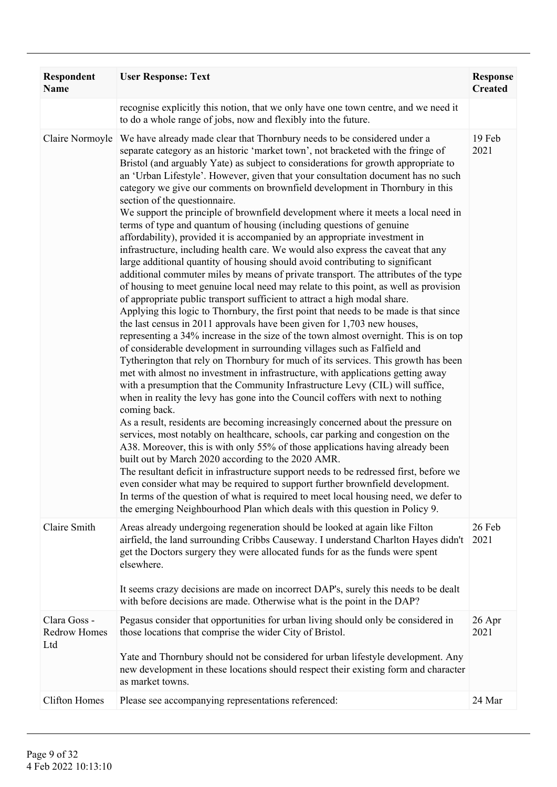| Respondent<br><b>Name</b>                  | <b>User Response: Text</b>                                                                                                                                                                                                                                                                                                                                                                                                                                                                                                                                                                                                                                                                                                                                                                                                                                                                                                                                                                                                                                                                                                                                                                                                                                                                                                                                                                                                                                                                                                                                                                                                                                                                                                                                                                                                                                                                                                                                                                                                                                                                                                                                                                                                                                                                                                                                                                                                                                                                                 | <b>Response</b><br><b>Created</b> |
|--------------------------------------------|------------------------------------------------------------------------------------------------------------------------------------------------------------------------------------------------------------------------------------------------------------------------------------------------------------------------------------------------------------------------------------------------------------------------------------------------------------------------------------------------------------------------------------------------------------------------------------------------------------------------------------------------------------------------------------------------------------------------------------------------------------------------------------------------------------------------------------------------------------------------------------------------------------------------------------------------------------------------------------------------------------------------------------------------------------------------------------------------------------------------------------------------------------------------------------------------------------------------------------------------------------------------------------------------------------------------------------------------------------------------------------------------------------------------------------------------------------------------------------------------------------------------------------------------------------------------------------------------------------------------------------------------------------------------------------------------------------------------------------------------------------------------------------------------------------------------------------------------------------------------------------------------------------------------------------------------------------------------------------------------------------------------------------------------------------------------------------------------------------------------------------------------------------------------------------------------------------------------------------------------------------------------------------------------------------------------------------------------------------------------------------------------------------------------------------------------------------------------------------------------------------|-----------------------------------|
|                                            | recognise explicitly this notion, that we only have one town centre, and we need it<br>to do a whole range of jobs, now and flexibly into the future.                                                                                                                                                                                                                                                                                                                                                                                                                                                                                                                                                                                                                                                                                                                                                                                                                                                                                                                                                                                                                                                                                                                                                                                                                                                                                                                                                                                                                                                                                                                                                                                                                                                                                                                                                                                                                                                                                                                                                                                                                                                                                                                                                                                                                                                                                                                                                      |                                   |
| Claire Normoyle                            | We have already made clear that Thornbury needs to be considered under a<br>separate category as an historic 'market town', not bracketed with the fringe of<br>Bristol (and arguably Yate) as subject to considerations for growth appropriate to<br>an 'Urban Lifestyle'. However, given that your consultation document has no such<br>category we give our comments on brownfield development in Thornbury in this<br>section of the questionnaire.<br>We support the principle of brownfield development where it meets a local need in<br>terms of type and quantum of housing (including questions of genuine<br>affordability), provided it is accompanied by an appropriate investment in<br>infrastructure, including health care. We would also express the caveat that any<br>large additional quantity of housing should avoid contributing to significant<br>additional commuter miles by means of private transport. The attributes of the type<br>of housing to meet genuine local need may relate to this point, as well as provision<br>of appropriate public transport sufficient to attract a high modal share.<br>Applying this logic to Thornbury, the first point that needs to be made is that since<br>the last census in 2011 approvals have been given for 1,703 new houses,<br>representing a 34% increase in the size of the town almost overnight. This is on top<br>of considerable development in surrounding villages such as Falfield and<br>Tytherington that rely on Thornbury for much of its services. This growth has been<br>met with almost no investment in infrastructure, with applications getting away<br>with a presumption that the Community Infrastructure Levy (CIL) will suffice,<br>when in reality the levy has gone into the Council coffers with next to nothing<br>coming back.<br>As a result, residents are becoming increasingly concerned about the pressure on<br>services, most notably on healthcare, schools, car parking and congestion on the<br>A38. Moreover, this is with only 55% of those applications having already been<br>built out by March 2020 according to the 2020 AMR.<br>The resultant deficit in infrastructure support needs to be redressed first, before we<br>even consider what may be required to support further brownfield development.<br>In terms of the question of what is required to meet local housing need, we defer to<br>the emerging Neighbourhood Plan which deals with this question in Policy 9. | 19 Feb<br>2021                    |
| Claire Smith                               | Areas already undergoing regeneration should be looked at again like Filton<br>airfield, the land surrounding Cribbs Causeway. I understand Charlton Hayes didn't<br>get the Doctors surgery they were allocated funds for as the funds were spent<br>elsewhere.<br>It seems crazy decisions are made on incorrect DAP's, surely this needs to be dealt<br>with before decisions are made. Otherwise what is the point in the DAP?                                                                                                                                                                                                                                                                                                                                                                                                                                                                                                                                                                                                                                                                                                                                                                                                                                                                                                                                                                                                                                                                                                                                                                                                                                                                                                                                                                                                                                                                                                                                                                                                                                                                                                                                                                                                                                                                                                                                                                                                                                                                         | 26 Feb<br>2021                    |
| Clara Goss -<br><b>Redrow Homes</b><br>Ltd | Pegasus consider that opportunities for urban living should only be considered in<br>those locations that comprise the wider City of Bristol.<br>Yate and Thornbury should not be considered for urban lifestyle development. Any<br>new development in these locations should respect their existing form and character<br>as market towns.                                                                                                                                                                                                                                                                                                                                                                                                                                                                                                                                                                                                                                                                                                                                                                                                                                                                                                                                                                                                                                                                                                                                                                                                                                                                                                                                                                                                                                                                                                                                                                                                                                                                                                                                                                                                                                                                                                                                                                                                                                                                                                                                                               | 26 Apr<br>2021                    |
| <b>Clifton Homes</b>                       | Please see accompanying representations referenced:                                                                                                                                                                                                                                                                                                                                                                                                                                                                                                                                                                                                                                                                                                                                                                                                                                                                                                                                                                                                                                                                                                                                                                                                                                                                                                                                                                                                                                                                                                                                                                                                                                                                                                                                                                                                                                                                                                                                                                                                                                                                                                                                                                                                                                                                                                                                                                                                                                                        | 24 Mar                            |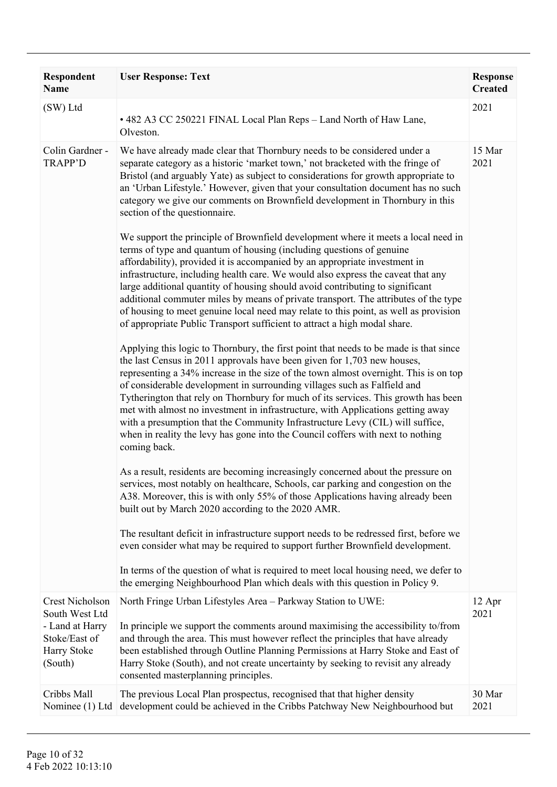| Respondent<br><b>Name</b>                                  | <b>User Response: Text</b>                                                                                                                                                                                                                                                                                                                                                                                                                                                                                                                                                                                                                                                                        | <b>Response</b><br><b>Created</b> |
|------------------------------------------------------------|---------------------------------------------------------------------------------------------------------------------------------------------------------------------------------------------------------------------------------------------------------------------------------------------------------------------------------------------------------------------------------------------------------------------------------------------------------------------------------------------------------------------------------------------------------------------------------------------------------------------------------------------------------------------------------------------------|-----------------------------------|
| (SW) Ltd                                                   | • 482 A3 CC 250221 FINAL Local Plan Reps - Land North of Haw Lane,<br>Olveston.                                                                                                                                                                                                                                                                                                                                                                                                                                                                                                                                                                                                                   | 2021                              |
| Colin Gardner -<br><b>TRAPP'D</b>                          | We have already made clear that Thornbury needs to be considered under a<br>separate category as a historic 'market town,' not bracketed with the fringe of<br>Bristol (and arguably Yate) as subject to considerations for growth appropriate to<br>an 'Urban Lifestyle.' However, given that your consultation document has no such<br>category we give our comments on Brownfield development in Thornbury in this<br>section of the questionnaire.                                                                                                                                                                                                                                            | 15 Mar<br>2021                    |
|                                                            | We support the principle of Brownfield development where it meets a local need in<br>terms of type and quantum of housing (including questions of genuine<br>affordability), provided it is accompanied by an appropriate investment in<br>infrastructure, including health care. We would also express the caveat that any<br>large additional quantity of housing should avoid contributing to significant<br>additional commuter miles by means of private transport. The attributes of the type<br>of housing to meet genuine local need may relate to this point, as well as provision<br>of appropriate Public Transport sufficient to attract a high modal share.                          |                                   |
|                                                            | Applying this logic to Thornbury, the first point that needs to be made is that since<br>the last Census in 2011 approvals have been given for 1,703 new houses,<br>representing a 34% increase in the size of the town almost overnight. This is on top<br>of considerable development in surrounding villages such as Falfield and<br>Tytherington that rely on Thornbury for much of its services. This growth has been<br>met with almost no investment in infrastructure, with Applications getting away<br>with a presumption that the Community Infrastructure Levy (CIL) will suffice,<br>when in reality the levy has gone into the Council coffers with next to nothing<br>coming back. |                                   |
|                                                            | As a result, residents are becoming increasingly concerned about the pressure on<br>services, most notably on healthcare, Schools, car parking and congestion on the<br>A38. Moreover, this is with only 55% of those Applications having already been<br>built out by March 2020 according to the 2020 AMR.                                                                                                                                                                                                                                                                                                                                                                                      |                                   |
|                                                            | The resultant deficit in infrastructure support needs to be redressed first, before we<br>even consider what may be required to support further Brownfield development.                                                                                                                                                                                                                                                                                                                                                                                                                                                                                                                           |                                   |
|                                                            | In terms of the question of what is required to meet local housing need, we defer to<br>the emerging Neighbourhood Plan which deals with this question in Policy 9.                                                                                                                                                                                                                                                                                                                                                                                                                                                                                                                               |                                   |
| <b>Crest Nicholson</b><br>South West Ltd                   | North Fringe Urban Lifestyles Area - Parkway Station to UWE:                                                                                                                                                                                                                                                                                                                                                                                                                                                                                                                                                                                                                                      | 12 Apr<br>2021                    |
| - Land at Harry<br>Stoke/East of<br>Harry Stoke<br>(South) | In principle we support the comments around maximising the accessibility to/from<br>and through the area. This must however reflect the principles that have already<br>been established through Outline Planning Permissions at Harry Stoke and East of<br>Harry Stoke (South), and not create uncertainty by seeking to revisit any already<br>consented masterplanning principles.                                                                                                                                                                                                                                                                                                             |                                   |
| Cribbs Mall<br>Nominee (1) Ltd                             | The previous Local Plan prospectus, recognised that that higher density<br>development could be achieved in the Cribbs Patchway New Neighbourhood but                                                                                                                                                                                                                                                                                                                                                                                                                                                                                                                                             | 30 Mar<br>2021                    |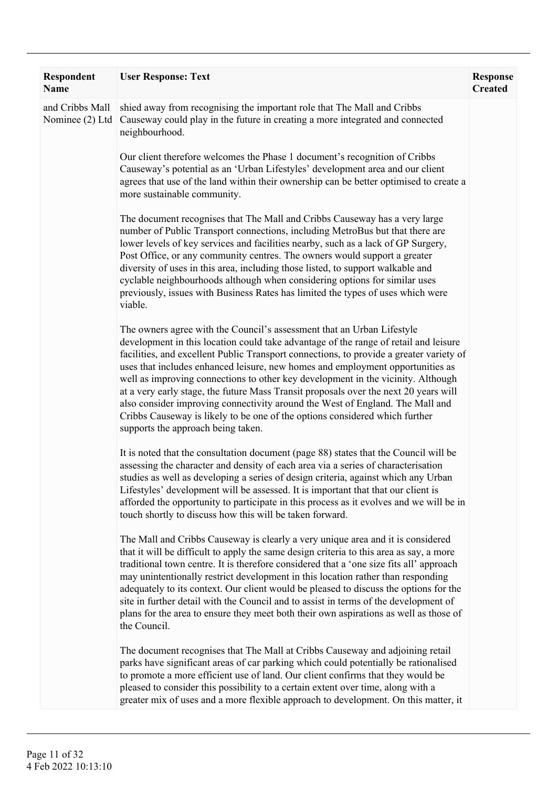| Respondent<br>Name                 | <b>User Response: Text</b>                                                                                                                                                                                                                                                                                                                                                                                                                                                                                                                                                                                                                                                                                                    | <b>Response</b><br><b>Created</b> |
|------------------------------------|-------------------------------------------------------------------------------------------------------------------------------------------------------------------------------------------------------------------------------------------------------------------------------------------------------------------------------------------------------------------------------------------------------------------------------------------------------------------------------------------------------------------------------------------------------------------------------------------------------------------------------------------------------------------------------------------------------------------------------|-----------------------------------|
| and Cribbs Mall<br>Nominee (2) Ltd | shied away from recognising the important role that The Mall and Cribbs<br>Causeway could play in the future in creating a more integrated and connected<br>neighbourhood.                                                                                                                                                                                                                                                                                                                                                                                                                                                                                                                                                    |                                   |
|                                    | Our client therefore welcomes the Phase 1 document's recognition of Cribbs<br>Causeway's potential as an 'Urban Lifestyles' development area and our client<br>agrees that use of the land within their ownership can be better optimised to create a<br>more sustainable community.                                                                                                                                                                                                                                                                                                                                                                                                                                          |                                   |
|                                    | The document recognises that The Mall and Cribbs Causeway has a very large<br>number of Public Transport connections, including MetroBus but that there are<br>lower levels of key services and facilities nearby, such as a lack of GP Surgery,<br>Post Office, or any community centres. The owners would support a greater<br>diversity of uses in this area, including those listed, to support walkable and<br>cyclable neighbourhoods although when considering options for similar uses<br>previously, issues with Business Rates has limited the types of uses which were<br>viable.                                                                                                                                  |                                   |
|                                    | The owners agree with the Council's assessment that an Urban Lifestyle<br>development in this location could take advantage of the range of retail and leisure<br>facilities, and excellent Public Transport connections, to provide a greater variety of<br>uses that includes enhanced leisure, new homes and employment opportunities as<br>well as improving connections to other key development in the vicinity. Although<br>at a very early stage, the future Mass Transit proposals over the next 20 years will<br>also consider improving connectivity around the West of England. The Mall and<br>Cribbs Causeway is likely to be one of the options considered which further<br>supports the approach being taken. |                                   |
|                                    | It is noted that the consultation document (page 88) states that the Council will be<br>assessing the character and density of each area via a series of characterisation<br>studies as well as developing a series of design criteria, against which any Urban<br>Lifestyles' development will be assessed. It is important that that our client is<br>afforded the opportunity to participate in this process as it evolves and we will be in<br>touch shortly to discuss how this will be taken forward.                                                                                                                                                                                                                   |                                   |
|                                    | The Mall and Cribbs Causeway is clearly a very unique area and it is considered<br>that it will be difficult to apply the same design criteria to this area as say, a more<br>traditional town centre. It is therefore considered that a 'one size fits all' approach<br>may unintentionally restrict development in this location rather than responding<br>adequately to its context. Our client would be pleased to discuss the options for the<br>site in further detail with the Council and to assist in terms of the development of<br>plans for the area to ensure they meet both their own aspirations as well as those of<br>the Council.                                                                           |                                   |
|                                    | The document recognises that The Mall at Cribbs Causeway and adjoining retail<br>parks have significant areas of car parking which could potentially be rationalised<br>to promote a more efficient use of land. Our client confirms that they would be<br>pleased to consider this possibility to a certain extent over time, along with a<br>greater mix of uses and a more flexible approach to development. On this matter, it                                                                                                                                                                                                                                                                                            |                                   |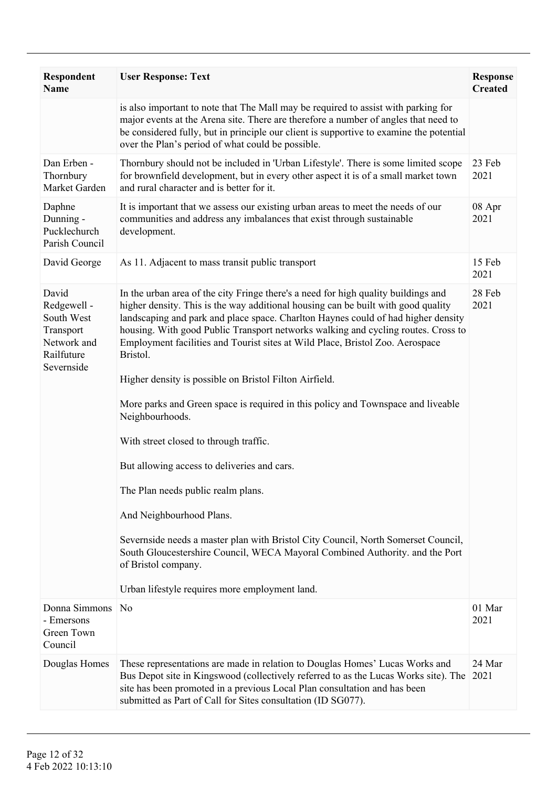| <b>Respondent</b><br><b>Name</b>                                                           | <b>User Response: Text</b>                                                                                                                                                                                                                                                                                                                                                                                                                                                                                                                                                                                                                                                                                                                                                                                                                                                                                                                                                                                               | <b>Response</b><br><b>Created</b> |
|--------------------------------------------------------------------------------------------|--------------------------------------------------------------------------------------------------------------------------------------------------------------------------------------------------------------------------------------------------------------------------------------------------------------------------------------------------------------------------------------------------------------------------------------------------------------------------------------------------------------------------------------------------------------------------------------------------------------------------------------------------------------------------------------------------------------------------------------------------------------------------------------------------------------------------------------------------------------------------------------------------------------------------------------------------------------------------------------------------------------------------|-----------------------------------|
|                                                                                            | is also important to note that The Mall may be required to assist with parking for<br>major events at the Arena site. There are therefore a number of angles that need to<br>be considered fully, but in principle our client is supportive to examine the potential<br>over the Plan's period of what could be possible.                                                                                                                                                                                                                                                                                                                                                                                                                                                                                                                                                                                                                                                                                                |                                   |
| Dan Erben -<br>Thornbury<br>Market Garden                                                  | Thornbury should not be included in 'Urban Lifestyle'. There is some limited scope<br>for brownfield development, but in every other aspect it is of a small market town<br>and rural character and is better for it.                                                                                                                                                                                                                                                                                                                                                                                                                                                                                                                                                                                                                                                                                                                                                                                                    | 23 Feb<br>2021                    |
| Daphne<br>Dunning -<br>Pucklechurch<br>Parish Council                                      | It is important that we assess our existing urban areas to meet the needs of our<br>communities and address any imbalances that exist through sustainable<br>development.                                                                                                                                                                                                                                                                                                                                                                                                                                                                                                                                                                                                                                                                                                                                                                                                                                                | 08 Apr<br>2021                    |
| David George                                                                               | As 11. Adjacent to mass transit public transport                                                                                                                                                                                                                                                                                                                                                                                                                                                                                                                                                                                                                                                                                                                                                                                                                                                                                                                                                                         | 15 Feb<br>2021                    |
| David<br>Redgewell -<br>South West<br>Transport<br>Network and<br>Railfuture<br>Severnside | In the urban area of the city Fringe there's a need for high quality buildings and<br>higher density. This is the way additional housing can be built with good quality<br>landscaping and park and place space. Charlton Haynes could of had higher density<br>housing. With good Public Transport networks walking and cycling routes. Cross to<br>Employment facilities and Tourist sites at Wild Place, Bristol Zoo. Aerospace<br>Bristol.<br>Higher density is possible on Bristol Filton Airfield.<br>More parks and Green space is required in this policy and Townspace and liveable<br>Neighbourhoods.<br>With street closed to through traffic.<br>But allowing access to deliveries and cars.<br>The Plan needs public realm plans.<br>And Neighbourhood Plans.<br>Severnside needs a master plan with Bristol City Council, North Somerset Council,<br>South Gloucestershire Council, WECA Mayoral Combined Authority. and the Port<br>of Bristol company.<br>Urban lifestyle requires more employment land. | 28 Feb<br>2021                    |
| Donna Simmons                                                                              | N <sub>o</sub>                                                                                                                                                                                                                                                                                                                                                                                                                                                                                                                                                                                                                                                                                                                                                                                                                                                                                                                                                                                                           | 01 Mar                            |
| - Emersons<br>Green Town<br>Council                                                        |                                                                                                                                                                                                                                                                                                                                                                                                                                                                                                                                                                                                                                                                                                                                                                                                                                                                                                                                                                                                                          | 2021                              |
| Douglas Homes                                                                              | These representations are made in relation to Douglas Homes' Lucas Works and<br>Bus Depot site in Kingswood (collectively referred to as the Lucas Works site). The<br>site has been promoted in a previous Local Plan consultation and has been<br>submitted as Part of Call for Sites consultation (ID SG077).                                                                                                                                                                                                                                                                                                                                                                                                                                                                                                                                                                                                                                                                                                         | 24 Mar<br>2021                    |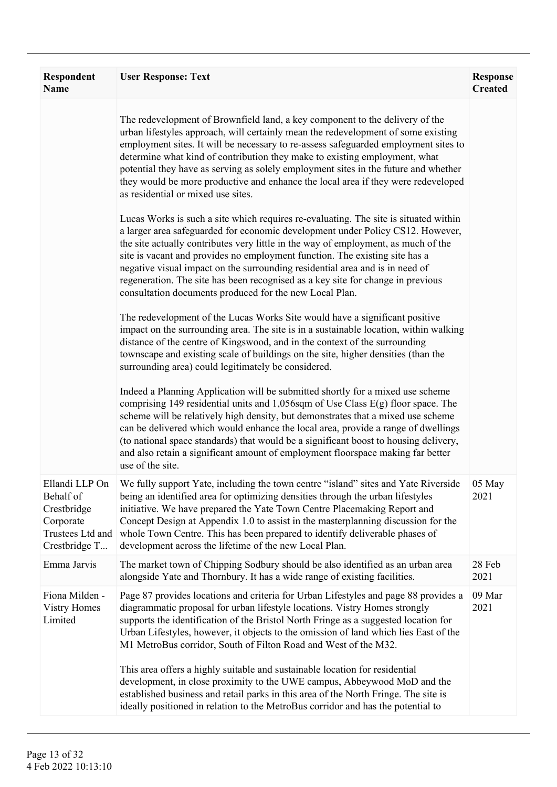| <b>Respondent</b><br><b>Name</b>                                                             | <b>User Response: Text</b>                                                                                                                                                                                                                                                                                                                                                                                                                                                                                                                                                | <b>Response</b><br><b>Created</b> |
|----------------------------------------------------------------------------------------------|---------------------------------------------------------------------------------------------------------------------------------------------------------------------------------------------------------------------------------------------------------------------------------------------------------------------------------------------------------------------------------------------------------------------------------------------------------------------------------------------------------------------------------------------------------------------------|-----------------------------------|
|                                                                                              | The redevelopment of Brownfield land, a key component to the delivery of the<br>urban lifestyles approach, will certainly mean the redevelopment of some existing<br>employment sites. It will be necessary to re-assess safeguarded employment sites to<br>determine what kind of contribution they make to existing employment, what<br>potential they have as serving as solely employment sites in the future and whether<br>they would be more productive and enhance the local area if they were redeveloped<br>as residential or mixed use sites.                  |                                   |
|                                                                                              | Lucas Works is such a site which requires re-evaluating. The site is situated within<br>a larger area safeguarded for economic development under Policy CS12. However,<br>the site actually contributes very little in the way of employment, as much of the<br>site is vacant and provides no employment function. The existing site has a<br>negative visual impact on the surrounding residential area and is in need of<br>regeneration. The site has been recognised as a key site for change in previous<br>consultation documents produced for the new Local Plan. |                                   |
|                                                                                              | The redevelopment of the Lucas Works Site would have a significant positive<br>impact on the surrounding area. The site is in a sustainable location, within walking<br>distance of the centre of Kingswood, and in the context of the surrounding<br>townscape and existing scale of buildings on the site, higher densities (than the<br>surrounding area) could legitimately be considered.                                                                                                                                                                            |                                   |
|                                                                                              | Indeed a Planning Application will be submitted shortly for a mixed use scheme<br>comprising 149 residential units and $1,056$ sqm of Use Class E(g) floor space. The<br>scheme will be relatively high density, but demonstrates that a mixed use scheme<br>can be delivered which would enhance the local area, provide a range of dwellings<br>(to national space standards) that would be a significant boost to housing delivery,<br>and also retain a significant amount of employment floorspace making far better<br>use of the site.                             |                                   |
| Ellandi LLP On<br>Behalf of<br>Crestbridge<br>Corporate<br>Trustees Ltd and<br>Crestbridge T | We fully support Yate, including the town centre "island" sites and Yate Riverside<br>being an identified area for optimizing densities through the urban lifestyles<br>initiative. We have prepared the Yate Town Centre Placemaking Report and<br>Concept Design at Appendix 1.0 to assist in the masterplanning discussion for the<br>whole Town Centre. This has been prepared to identify deliverable phases of<br>development across the lifetime of the new Local Plan.                                                                                            | 05 May<br>2021                    |
| Emma Jarvis                                                                                  | The market town of Chipping Sodbury should be also identified as an urban area<br>alongside Yate and Thornbury. It has a wide range of existing facilities.                                                                                                                                                                                                                                                                                                                                                                                                               | 28 Feb<br>2021                    |
| Fiona Milden -<br><b>Vistry Homes</b><br>Limited                                             | Page 87 provides locations and criteria for Urban Lifestyles and page 88 provides a<br>diagrammatic proposal for urban lifestyle locations. Vistry Homes strongly<br>supports the identification of the Bristol North Fringe as a suggested location for<br>Urban Lifestyles, however, it objects to the omission of land which lies East of the<br>M1 MetroBus corridor, South of Filton Road and West of the M32.                                                                                                                                                       | 09 Mar<br>2021                    |
|                                                                                              | This area offers a highly suitable and sustainable location for residential<br>development, in close proximity to the UWE campus, Abbeywood MoD and the<br>established business and retail parks in this area of the North Fringe. The site is<br>ideally positioned in relation to the MetroBus corridor and has the potential to                                                                                                                                                                                                                                        |                                   |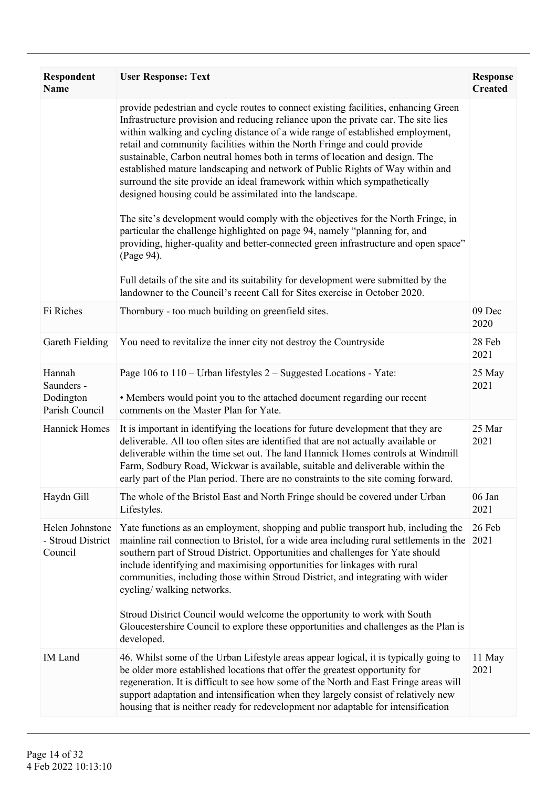| <b>Respondent</b><br><b>Name</b>                    | <b>User Response: Text</b>                                                                                                                                                                                                                                                                                                                                                                                                                                                                                                                                                                                                                                                                                                                                                                                                                                                                                                                                                                                                                                                                    | <b>Response</b><br><b>Created</b> |
|-----------------------------------------------------|-----------------------------------------------------------------------------------------------------------------------------------------------------------------------------------------------------------------------------------------------------------------------------------------------------------------------------------------------------------------------------------------------------------------------------------------------------------------------------------------------------------------------------------------------------------------------------------------------------------------------------------------------------------------------------------------------------------------------------------------------------------------------------------------------------------------------------------------------------------------------------------------------------------------------------------------------------------------------------------------------------------------------------------------------------------------------------------------------|-----------------------------------|
|                                                     | provide pedestrian and cycle routes to connect existing facilities, enhancing Green<br>Infrastructure provision and reducing reliance upon the private car. The site lies<br>within walking and cycling distance of a wide range of established employment,<br>retail and community facilities within the North Fringe and could provide<br>sustainable, Carbon neutral homes both in terms of location and design. The<br>established mature landscaping and network of Public Rights of Way within and<br>surround the site provide an ideal framework within which sympathetically<br>designed housing could be assimilated into the landscape.<br>The site's development would comply with the objectives for the North Fringe, in<br>particular the challenge highlighted on page 94, namely "planning for, and<br>providing, higher-quality and better-connected green infrastructure and open space"<br>(Page 94).<br>Full details of the site and its suitability for development were submitted by the<br>landowner to the Council's recent Call for Sites exercise in October 2020. |                                   |
| Fi Riches                                           | Thornbury - too much building on greenfield sites.                                                                                                                                                                                                                                                                                                                                                                                                                                                                                                                                                                                                                                                                                                                                                                                                                                                                                                                                                                                                                                            | 09 Dec<br>2020                    |
| Gareth Fielding                                     | You need to revitalize the inner city not destroy the Countryside                                                                                                                                                                                                                                                                                                                                                                                                                                                                                                                                                                                                                                                                                                                                                                                                                                                                                                                                                                                                                             | 28 Feb<br>2021                    |
| Hannah<br>Saunders -<br>Dodington<br>Parish Council | Page 106 to 110 – Urban lifestyles 2 – Suggested Locations - Yate:<br>• Members would point you to the attached document regarding our recent<br>comments on the Master Plan for Yate.                                                                                                                                                                                                                                                                                                                                                                                                                                                                                                                                                                                                                                                                                                                                                                                                                                                                                                        | 25 May<br>2021                    |
| Hannick Homes                                       | It is important in identifying the locations for future development that they are<br>deliverable. All too often sites are identified that are not actually available or<br>deliverable within the time set out. The land Hannick Homes controls at Windmill<br>Farm, Sodbury Road, Wickwar is available, suitable and deliverable within the<br>early part of the Plan period. There are no constraints to the site coming forward.                                                                                                                                                                                                                                                                                                                                                                                                                                                                                                                                                                                                                                                           | 25 Mar<br>2021                    |
| Haydn Gill                                          | The whole of the Bristol East and North Fringe should be covered under Urban<br>Lifestyles.                                                                                                                                                                                                                                                                                                                                                                                                                                                                                                                                                                                                                                                                                                                                                                                                                                                                                                                                                                                                   | 06 Jan<br>2021                    |
| Helen Johnstone<br>- Stroud District<br>Council     | Yate functions as an employment, shopping and public transport hub, including the<br>mainline rail connection to Bristol, for a wide area including rural settlements in the<br>southern part of Stroud District. Opportunities and challenges for Yate should<br>include identifying and maximising opportunities for linkages with rural<br>communities, including those within Stroud District, and integrating with wider<br>cycling/walking networks.<br>Stroud District Council would welcome the opportunity to work with South<br>Gloucestershire Council to explore these opportunities and challenges as the Plan is<br>developed.                                                                                                                                                                                                                                                                                                                                                                                                                                                  | 26 Feb<br>2021                    |
| <b>IM</b> Land                                      | 46. Whilst some of the Urban Lifestyle areas appear logical, it is typically going to<br>be older more established locations that offer the greatest opportunity for<br>regeneration. It is difficult to see how some of the North and East Fringe areas will<br>support adaptation and intensification when they largely consist of relatively new<br>housing that is neither ready for redevelopment nor adaptable for intensification                                                                                                                                                                                                                                                                                                                                                                                                                                                                                                                                                                                                                                                      | 11 May<br>2021                    |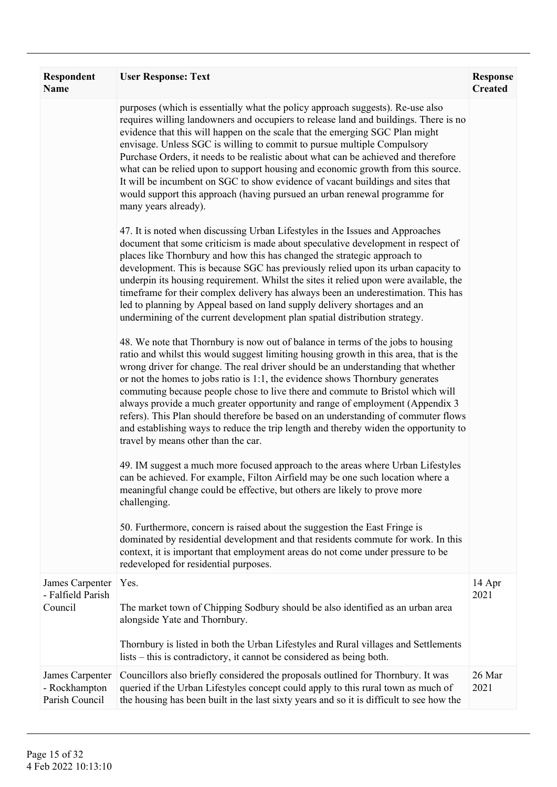| Respondent<br><b>Name</b>                          | <b>User Response: Text</b>                                                                                                                                                                                                                                                                                                                                                                                                                                                                                                                                                                                                                                                                                                             | <b>Response</b><br><b>Created</b> |
|----------------------------------------------------|----------------------------------------------------------------------------------------------------------------------------------------------------------------------------------------------------------------------------------------------------------------------------------------------------------------------------------------------------------------------------------------------------------------------------------------------------------------------------------------------------------------------------------------------------------------------------------------------------------------------------------------------------------------------------------------------------------------------------------------|-----------------------------------|
|                                                    | purposes (which is essentially what the policy approach suggests). Re-use also<br>requires willing landowners and occupiers to release land and buildings. There is no<br>evidence that this will happen on the scale that the emerging SGC Plan might<br>envisage. Unless SGC is willing to commit to pursue multiple Compulsory<br>Purchase Orders, it needs to be realistic about what can be achieved and therefore<br>what can be relied upon to support housing and economic growth from this source.<br>It will be incumbent on SGC to show evidence of vacant buildings and sites that<br>would support this approach (having pursued an urban renewal programme for<br>many years already).                                   |                                   |
|                                                    | 47. It is noted when discussing Urban Lifestyles in the Issues and Approaches<br>document that some criticism is made about speculative development in respect of<br>places like Thornbury and how this has changed the strategic approach to<br>development. This is because SGC has previously relied upon its urban capacity to<br>underpin its housing requirement. Whilst the sites it relied upon were available, the<br>timeframe for their complex delivery has always been an underestimation. This has<br>led to planning by Appeal based on land supply delivery shortages and an<br>undermining of the current development plan spatial distribution strategy.                                                             |                                   |
|                                                    | 48. We note that Thornbury is now out of balance in terms of the jobs to housing<br>ratio and whilst this would suggest limiting housing growth in this area, that is the<br>wrong driver for change. The real driver should be an understanding that whether<br>or not the homes to jobs ratio is 1:1, the evidence shows Thornbury generates<br>commuting because people chose to live there and commute to Bristol which will<br>always provide a much greater opportunity and range of employment (Appendix 3<br>refers). This Plan should therefore be based on an understanding of commuter flows<br>and establishing ways to reduce the trip length and thereby widen the opportunity to<br>travel by means other than the car. |                                   |
|                                                    | 49. IM suggest a much more focused approach to the areas where Urban Lifestyles<br>can be achieved. For example, Filton Airfield may be one such location where a<br>meaningful change could be effective, but others are likely to prove more<br>challenging.                                                                                                                                                                                                                                                                                                                                                                                                                                                                         |                                   |
|                                                    | 50. Furthermore, concern is raised about the suggestion the East Fringe is<br>dominated by residential development and that residents commute for work. In this<br>context, it is important that employment areas do not come under pressure to be<br>redeveloped for residential purposes.                                                                                                                                                                                                                                                                                                                                                                                                                                            |                                   |
| James Carpenter<br>- Falfield Parish<br>Council    | Yes.<br>The market town of Chipping Sodbury should be also identified as an urban area<br>alongside Yate and Thornbury.                                                                                                                                                                                                                                                                                                                                                                                                                                                                                                                                                                                                                | 14 Apr<br>2021                    |
|                                                    | Thornbury is listed in both the Urban Lifestyles and Rural villages and Settlements<br>lists – this is contradictory, it cannot be considered as being both.                                                                                                                                                                                                                                                                                                                                                                                                                                                                                                                                                                           |                                   |
| James Carpenter<br>- Rockhampton<br>Parish Council | Councillors also briefly considered the proposals outlined for Thornbury. It was<br>queried if the Urban Lifestyles concept could apply to this rural town as much of<br>the housing has been built in the last sixty years and so it is difficult to see how the                                                                                                                                                                                                                                                                                                                                                                                                                                                                      | 26 Mar<br>2021                    |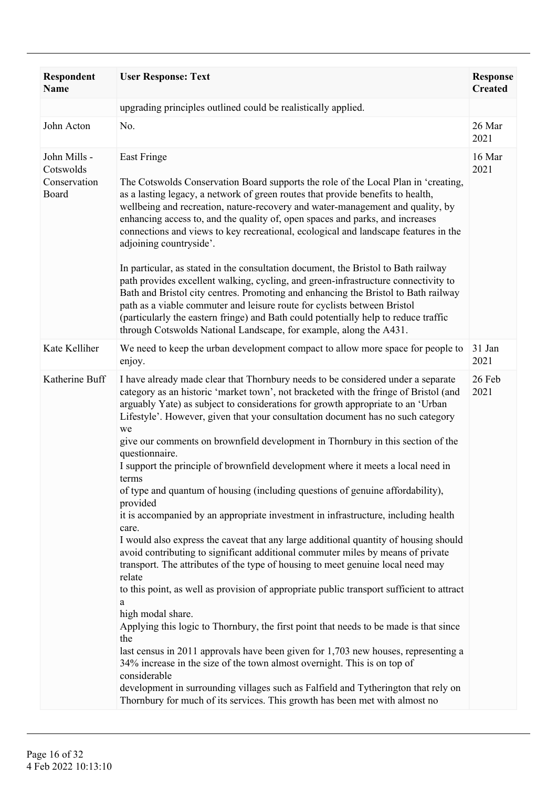| <b>Respondent</b><br><b>Name</b>                   | <b>User Response: Text</b>                                                                                                                                                                                                                                                                                                                                                                                                                                                                                                                                                                                                                                                                                                                                                                                                                                                                                                                                                                                                                                                                                                                                                                                                                                                                                                                                                                                                                                                                                                                                                                                | <b>Response</b><br><b>Created</b> |
|----------------------------------------------------|-----------------------------------------------------------------------------------------------------------------------------------------------------------------------------------------------------------------------------------------------------------------------------------------------------------------------------------------------------------------------------------------------------------------------------------------------------------------------------------------------------------------------------------------------------------------------------------------------------------------------------------------------------------------------------------------------------------------------------------------------------------------------------------------------------------------------------------------------------------------------------------------------------------------------------------------------------------------------------------------------------------------------------------------------------------------------------------------------------------------------------------------------------------------------------------------------------------------------------------------------------------------------------------------------------------------------------------------------------------------------------------------------------------------------------------------------------------------------------------------------------------------------------------------------------------------------------------------------------------|-----------------------------------|
|                                                    | upgrading principles outlined could be realistically applied.                                                                                                                                                                                                                                                                                                                                                                                                                                                                                                                                                                                                                                                                                                                                                                                                                                                                                                                                                                                                                                                                                                                                                                                                                                                                                                                                                                                                                                                                                                                                             |                                   |
| John Acton                                         | No.                                                                                                                                                                                                                                                                                                                                                                                                                                                                                                                                                                                                                                                                                                                                                                                                                                                                                                                                                                                                                                                                                                                                                                                                                                                                                                                                                                                                                                                                                                                                                                                                       | 26 Mar<br>2021                    |
| John Mills -<br>Cotswolds<br>Conservation<br>Board | <b>East Fringe</b><br>The Cotswolds Conservation Board supports the role of the Local Plan in 'creating,<br>as a lasting legacy, a network of green routes that provide benefits to health,<br>wellbeing and recreation, nature-recovery and water-management and quality, by<br>enhancing access to, and the quality of, open spaces and parks, and increases<br>connections and views to key recreational, ecological and landscape features in the<br>adjoining countryside'.<br>In particular, as stated in the consultation document, the Bristol to Bath railway<br>path provides excellent walking, cycling, and green-infrastructure connectivity to<br>Bath and Bristol city centres. Promoting and enhancing the Bristol to Bath railway<br>path as a viable commuter and leisure route for cyclists between Bristol<br>(particularly the eastern fringe) and Bath could potentially help to reduce traffic<br>through Cotswolds National Landscape, for example, along the A431.                                                                                                                                                                                                                                                                                                                                                                                                                                                                                                                                                                                                               | 16 Mar<br>2021                    |
| Kate Kelliher                                      | We need to keep the urban development compact to allow more space for people to<br>enjoy.                                                                                                                                                                                                                                                                                                                                                                                                                                                                                                                                                                                                                                                                                                                                                                                                                                                                                                                                                                                                                                                                                                                                                                                                                                                                                                                                                                                                                                                                                                                 | 31 Jan<br>2021                    |
| Katherine Buff                                     | I have already made clear that Thornbury needs to be considered under a separate<br>category as an historic 'market town', not bracketed with the fringe of Bristol (and<br>arguably Yate) as subject to considerations for growth appropriate to an 'Urban<br>Lifestyle'. However, given that your consultation document has no such category<br>we<br>give our comments on brownfield development in Thornbury in this section of the<br>questionnaire.<br>I support the principle of brownfield development where it meets a local need in<br>terms<br>of type and quantum of housing (including questions of genuine affordability),<br>provided<br>it is accompanied by an appropriate investment in infrastructure, including health<br>care.<br>I would also express the caveat that any large additional quantity of housing should<br>avoid contributing to significant additional commuter miles by means of private<br>transport. The attributes of the type of housing to meet genuine local need may<br>relate<br>to this point, as well as provision of appropriate public transport sufficient to attract<br>a<br>high modal share.<br>Applying this logic to Thornbury, the first point that needs to be made is that since<br>the<br>last census in 2011 approvals have been given for 1,703 new houses, representing a<br>34% increase in the size of the town almost overnight. This is on top of<br>considerable<br>development in surrounding villages such as Falfield and Tytherington that rely on<br>Thornbury for much of its services. This growth has been met with almost no | 26 Feb<br>2021                    |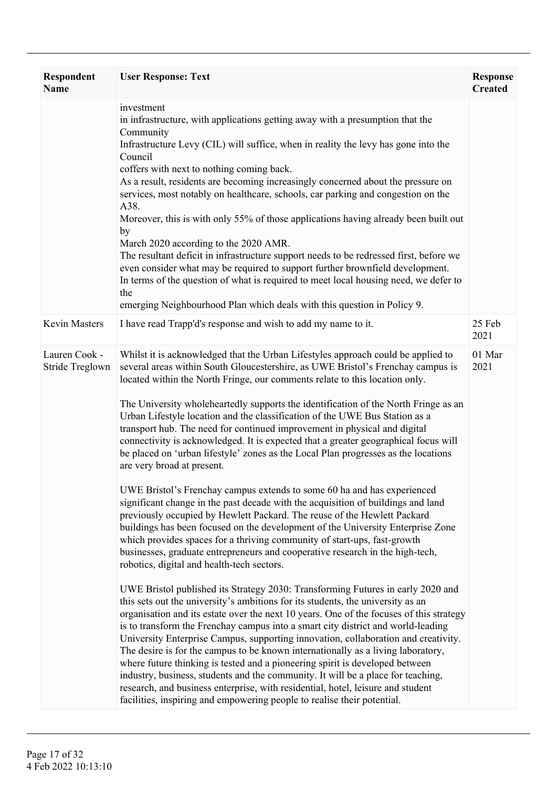| <b>Respondent</b><br><b>Name</b> | <b>User Response: Text</b>                                                                                                                                                                                                                                                                                                                                                                                                                                                                                                                                                                                                                                                                                                                                                                                                                                                                                                                                                                                                                                                                                                                                                                                                                                                                                                                                                                                                                                                                                                                                                                                                                                                                                                                                                                                                                                                                                                                                                                                                                                                                                                 | <b>Response</b><br><b>Created</b> |
|----------------------------------|----------------------------------------------------------------------------------------------------------------------------------------------------------------------------------------------------------------------------------------------------------------------------------------------------------------------------------------------------------------------------------------------------------------------------------------------------------------------------------------------------------------------------------------------------------------------------------------------------------------------------------------------------------------------------------------------------------------------------------------------------------------------------------------------------------------------------------------------------------------------------------------------------------------------------------------------------------------------------------------------------------------------------------------------------------------------------------------------------------------------------------------------------------------------------------------------------------------------------------------------------------------------------------------------------------------------------------------------------------------------------------------------------------------------------------------------------------------------------------------------------------------------------------------------------------------------------------------------------------------------------------------------------------------------------------------------------------------------------------------------------------------------------------------------------------------------------------------------------------------------------------------------------------------------------------------------------------------------------------------------------------------------------------------------------------------------------------------------------------------------------|-----------------------------------|
|                                  | investment<br>in infrastructure, with applications getting away with a presumption that the<br>Community<br>Infrastructure Levy (CIL) will suffice, when in reality the levy has gone into the<br>Council<br>coffers with next to nothing coming back.<br>As a result, residents are becoming increasingly concerned about the pressure on<br>services, most notably on healthcare, schools, car parking and congestion on the<br>A38.<br>Moreover, this is with only 55% of those applications having already been built out<br>by<br>March 2020 according to the 2020 AMR.<br>The resultant deficit in infrastructure support needs to be redressed first, before we<br>even consider what may be required to support further brownfield development.<br>In terms of the question of what is required to meet local housing need, we defer to<br>the<br>emerging Neighbourhood Plan which deals with this question in Policy 9.                                                                                                                                                                                                                                                                                                                                                                                                                                                                                                                                                                                                                                                                                                                                                                                                                                                                                                                                                                                                                                                                                                                                                                                          |                                   |
| Kevin Masters                    | I have read Trapp'd's response and wish to add my name to it.                                                                                                                                                                                                                                                                                                                                                                                                                                                                                                                                                                                                                                                                                                                                                                                                                                                                                                                                                                                                                                                                                                                                                                                                                                                                                                                                                                                                                                                                                                                                                                                                                                                                                                                                                                                                                                                                                                                                                                                                                                                              | 25 Feb<br>2021                    |
| Lauren Cook -<br>Stride Treglown | Whilst it is acknowledged that the Urban Lifestyles approach could be applied to<br>several areas within South Gloucestershire, as UWE Bristol's Frenchay campus is<br>located within the North Fringe, our comments relate to this location only.<br>The University wholeheartedly supports the identification of the North Fringe as an<br>Urban Lifestyle location and the classification of the UWE Bus Station as a<br>transport hub. The need for continued improvement in physical and digital<br>connectivity is acknowledged. It is expected that a greater geographical focus will<br>be placed on 'urban lifestyle' zones as the Local Plan progresses as the locations<br>are very broad at present.<br>UWE Bristol's Frenchay campus extends to some 60 ha and has experienced<br>significant change in the past decade with the acquisition of buildings and land<br>previously occupied by Hewlett Packard. The reuse of the Hewlett Packard<br>buildings has been focused on the development of the University Enterprise Zone<br>which provides spaces for a thriving community of start-ups, fast-growth<br>businesses, graduate entrepreneurs and cooperative research in the high-tech,<br>robotics, digital and health-tech sectors.<br>UWE Bristol published its Strategy 2030: Transforming Futures in early 2020 and<br>this sets out the university's ambitions for its students, the university as an<br>organisation and its estate over the next 10 years. One of the focuses of this strategy<br>is to transform the Frenchay campus into a smart city district and world-leading<br>University Enterprise Campus, supporting innovation, collaboration and creativity.<br>The desire is for the campus to be known internationally as a living laboratory,<br>where future thinking is tested and a pioneering spirit is developed between<br>industry, business, students and the community. It will be a place for teaching,<br>research, and business enterprise, with residential, hotel, leisure and student<br>facilities, inspiring and empowering people to realise their potential. | 01 Mar<br>2021                    |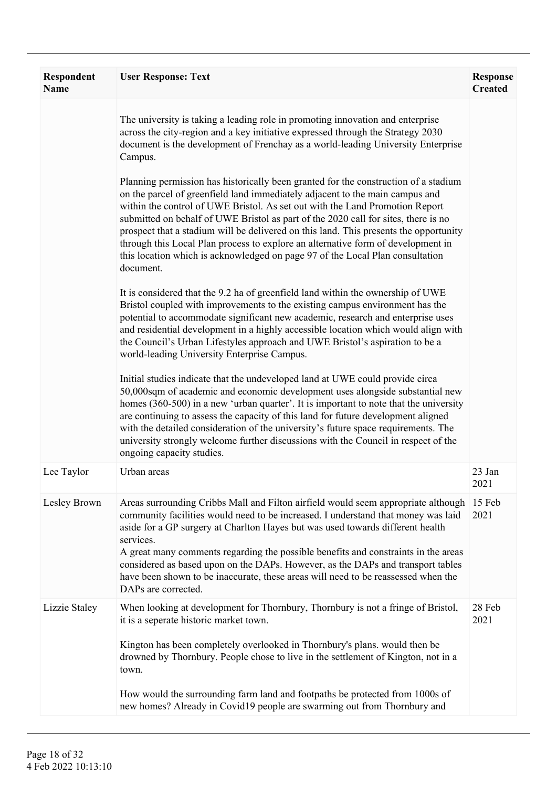| Respondent<br>Name | <b>User Response: Text</b>                                                                                                                                                                                                                                                                                                                                                                                                                                                                                                                                                                                           | <b>Response</b><br><b>Created</b> |
|--------------------|----------------------------------------------------------------------------------------------------------------------------------------------------------------------------------------------------------------------------------------------------------------------------------------------------------------------------------------------------------------------------------------------------------------------------------------------------------------------------------------------------------------------------------------------------------------------------------------------------------------------|-----------------------------------|
|                    | The university is taking a leading role in promoting innovation and enterprise<br>across the city-region and a key initiative expressed through the Strategy 2030<br>document is the development of Frenchay as a world-leading University Enterprise<br>Campus.                                                                                                                                                                                                                                                                                                                                                     |                                   |
|                    | Planning permission has historically been granted for the construction of a stadium<br>on the parcel of greenfield land immediately adjacent to the main campus and<br>within the control of UWE Bristol. As set out with the Land Promotion Report<br>submitted on behalf of UWE Bristol as part of the 2020 call for sites, there is no<br>prospect that a stadium will be delivered on this land. This presents the opportunity<br>through this Local Plan process to explore an alternative form of development in<br>this location which is acknowledged on page 97 of the Local Plan consultation<br>document. |                                   |
|                    | It is considered that the 9.2 ha of greenfield land within the ownership of UWE<br>Bristol coupled with improvements to the existing campus environment has the<br>potential to accommodate significant new academic, research and enterprise uses<br>and residential development in a highly accessible location which would align with<br>the Council's Urban Lifestyles approach and UWE Bristol's aspiration to be a<br>world-leading University Enterprise Campus.                                                                                                                                              |                                   |
|                    | Initial studies indicate that the undeveloped land at UWE could provide circa<br>50,000sqm of academic and economic development uses alongside substantial new<br>homes (360-500) in a new 'urban quarter'. It is important to note that the university<br>are continuing to assess the capacity of this land for future development aligned<br>with the detailed consideration of the university's future space requirements. The<br>university strongly welcome further discussions with the Council in respect of the<br>ongoing capacity studies.                                                                |                                   |
| Lee Taylor         | Urban areas                                                                                                                                                                                                                                                                                                                                                                                                                                                                                                                                                                                                          | 23 Jan<br>2021                    |
| Lesley Brown       | Areas surrounding Cribbs Mall and Filton airfield would seem appropriate although<br>community facilities would need to be increased. I understand that money was laid<br>aside for a GP surgery at Charlton Hayes but was used towards different health<br>services.<br>A great many comments regarding the possible benefits and constraints in the areas<br>considered as based upon on the DAPs. However, as the DAPs and transport tables<br>have been shown to be inaccurate, these areas will need to be reassessed when the                                                                                  | 15 Feb<br>2021                    |
| Lizzie Staley      | DAPs are corrected.<br>When looking at development for Thornbury, Thornbury is not a fringe of Bristol,                                                                                                                                                                                                                                                                                                                                                                                                                                                                                                              | 28 Feb                            |
|                    | it is a seperate historic market town.<br>Kington has been completely overlooked in Thornbury's plans, would then be<br>drowned by Thornbury. People chose to live in the settlement of Kington, not in a<br>town.                                                                                                                                                                                                                                                                                                                                                                                                   | 2021                              |
|                    | How would the surrounding farm land and footpaths be protected from 1000s of<br>new homes? Already in Covid19 people are swarming out from Thornbury and                                                                                                                                                                                                                                                                                                                                                                                                                                                             |                                   |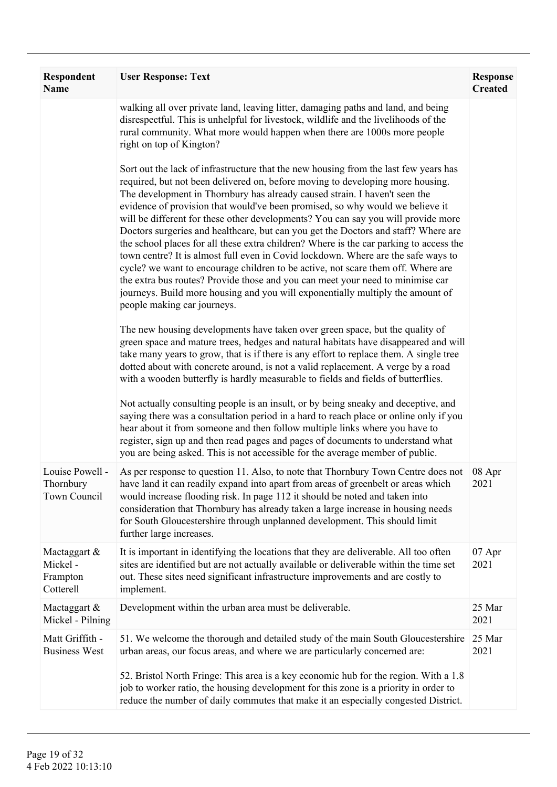| <b>Respondent</b><br><b>Name</b>                 | <b>User Response: Text</b>                                                                                                                                                                                                                                                                                                                                                                                                                                                                                                                                                                                                                                                                                                                                                                                                                                                                                                                                                             | <b>Response</b><br><b>Created</b> |
|--------------------------------------------------|----------------------------------------------------------------------------------------------------------------------------------------------------------------------------------------------------------------------------------------------------------------------------------------------------------------------------------------------------------------------------------------------------------------------------------------------------------------------------------------------------------------------------------------------------------------------------------------------------------------------------------------------------------------------------------------------------------------------------------------------------------------------------------------------------------------------------------------------------------------------------------------------------------------------------------------------------------------------------------------|-----------------------------------|
|                                                  | walking all over private land, leaving litter, damaging paths and land, and being<br>disrespectful. This is unhelpful for livestock, wildlife and the livelihoods of the<br>rural community. What more would happen when there are 1000s more people<br>right on top of Kington?                                                                                                                                                                                                                                                                                                                                                                                                                                                                                                                                                                                                                                                                                                       |                                   |
|                                                  | Sort out the lack of infrastructure that the new housing from the last few years has<br>required, but not been delivered on, before moving to developing more housing.<br>The development in Thornbury has already caused strain. I haven't seen the<br>evidence of provision that would've been promised, so why would we believe it<br>will be different for these other developments? You can say you will provide more<br>Doctors surgeries and healthcare, but can you get the Doctors and staff? Where are<br>the school places for all these extra children? Where is the car parking to access the<br>town centre? It is almost full even in Covid lockdown. Where are the safe ways to<br>cycle? we want to encourage children to be active, not scare them off. Where are<br>the extra bus routes? Provide those and you can meet your need to minimise car<br>journeys. Build more housing and you will exponentially multiply the amount of<br>people making car journeys. |                                   |
|                                                  | The new housing developments have taken over green space, but the quality of<br>green space and mature trees, hedges and natural habitats have disappeared and will<br>take many years to grow, that is if there is any effort to replace them. A single tree<br>dotted about with concrete around, is not a valid replacement. A verge by a road<br>with a wooden butterfly is hardly measurable to fields and fields of butterflies.                                                                                                                                                                                                                                                                                                                                                                                                                                                                                                                                                 |                                   |
|                                                  | Not actually consulting people is an insult, or by being sneaky and deceptive, and<br>saying there was a consultation period in a hard to reach place or online only if you<br>hear about it from someone and then follow multiple links where you have to<br>register, sign up and then read pages and pages of documents to understand what<br>you are being asked. This is not accessible for the average member of public.                                                                                                                                                                                                                                                                                                                                                                                                                                                                                                                                                         |                                   |
| Louise Powell -<br>Thornbury<br>Town Council     | As per response to question 11. Also, to note that Thornbury Town Centre does not<br>have land it can readily expand into apart from areas of greenbelt or areas which<br>would increase flooding risk. In page 112 it should be noted and taken into<br>consideration that Thornbury has already taken a large increase in housing needs<br>for South Gloucestershire through unplanned development. This should limit<br>further large increases.                                                                                                                                                                                                                                                                                                                                                                                                                                                                                                                                    | 08 Apr<br>2021                    |
| Mactaggart &<br>Mickel-<br>Frampton<br>Cotterell | It is important in identifying the locations that they are deliverable. All too often<br>sites are identified but are not actually available or deliverable within the time set<br>out. These sites need significant infrastructure improvements and are costly to<br>implement.                                                                                                                                                                                                                                                                                                                                                                                                                                                                                                                                                                                                                                                                                                       | 07 Apr<br>2021                    |
| Mactaggart &<br>Mickel - Pilning                 | Development within the urban area must be deliverable.                                                                                                                                                                                                                                                                                                                                                                                                                                                                                                                                                                                                                                                                                                                                                                                                                                                                                                                                 | 25 Mar<br>2021                    |
| Matt Griffith -<br><b>Business West</b>          | 51. We welcome the thorough and detailed study of the main South Gloucestershire<br>urban areas, our focus areas, and where we are particularly concerned are:<br>52. Bristol North Fringe: This area is a key economic hub for the region. With a 1.8<br>job to worker ratio, the housing development for this zone is a priority in order to                                                                                                                                                                                                                                                                                                                                                                                                                                                                                                                                                                                                                                         | 25 Mar<br>2021                    |
|                                                  | reduce the number of daily commutes that make it an especially congested District.                                                                                                                                                                                                                                                                                                                                                                                                                                                                                                                                                                                                                                                                                                                                                                                                                                                                                                     |                                   |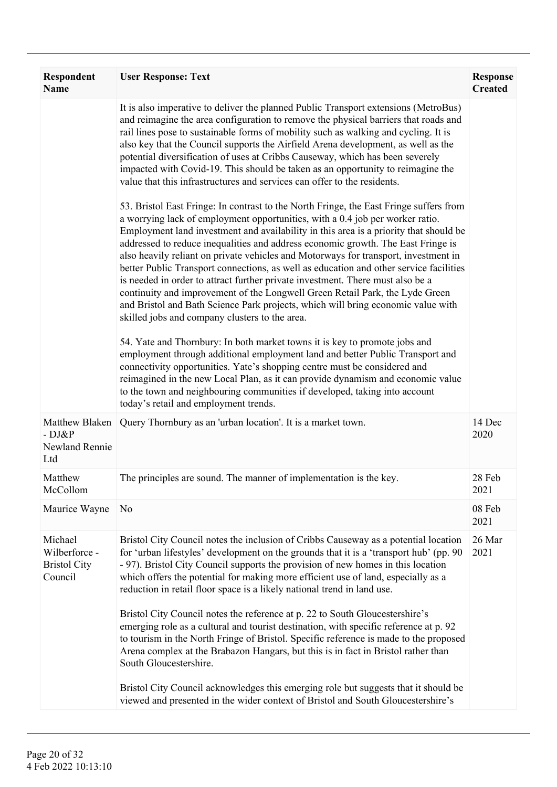| <b>Respondent</b><br><b>Name</b>                           | <b>User Response: Text</b>                                                                                                                                                                                                                                                                                                                                                                                                                                                                                                                                                                                                                                                                                                                                                                                                                                                                                                                                                                                                                                                                                                                                                                                                                                                                                                                                                                                                                                                                                                                                                                                                                                                                                                                                                                                                                                                                                    | <b>Response</b><br><b>Created</b> |
|------------------------------------------------------------|---------------------------------------------------------------------------------------------------------------------------------------------------------------------------------------------------------------------------------------------------------------------------------------------------------------------------------------------------------------------------------------------------------------------------------------------------------------------------------------------------------------------------------------------------------------------------------------------------------------------------------------------------------------------------------------------------------------------------------------------------------------------------------------------------------------------------------------------------------------------------------------------------------------------------------------------------------------------------------------------------------------------------------------------------------------------------------------------------------------------------------------------------------------------------------------------------------------------------------------------------------------------------------------------------------------------------------------------------------------------------------------------------------------------------------------------------------------------------------------------------------------------------------------------------------------------------------------------------------------------------------------------------------------------------------------------------------------------------------------------------------------------------------------------------------------------------------------------------------------------------------------------------------------|-----------------------------------|
|                                                            | It is also imperative to deliver the planned Public Transport extensions (MetroBus)<br>and reimagine the area configuration to remove the physical barriers that roads and<br>rail lines pose to sustainable forms of mobility such as walking and cycling. It is<br>also key that the Council supports the Airfield Arena development, as well as the<br>potential diversification of uses at Cribbs Causeway, which has been severely<br>impacted with Covid-19. This should be taken as an opportunity to reimagine the<br>value that this infrastructures and services can offer to the residents.<br>53. Bristol East Fringe: In contrast to the North Fringe, the East Fringe suffers from<br>a worrying lack of employment opportunities, with a 0.4 job per worker ratio.<br>Employment land investment and availability in this area is a priority that should be<br>addressed to reduce inequalities and address economic growth. The East Fringe is<br>also heavily reliant on private vehicles and Motorways for transport, investment in<br>better Public Transport connections, as well as education and other service facilities<br>is needed in order to attract further private investment. There must also be a<br>continuity and improvement of the Longwell Green Retail Park, the Lyde Green<br>and Bristol and Bath Science Park projects, which will bring economic value with<br>skilled jobs and company clusters to the area.<br>54. Yate and Thornbury: In both market towns it is key to promote jobs and<br>employment through additional employment land and better Public Transport and<br>connectivity opportunities. Yate's shopping centre must be considered and<br>reimagined in the new Local Plan, as it can provide dynamism and economic value<br>to the town and neighbouring communities if developed, taking into account<br>today's retail and employment trends. |                                   |
| Matthew Blaken<br>$-DJ\&P$<br>Newland Rennie<br>Ltd        | Query Thornbury as an 'urban location'. It is a market town.                                                                                                                                                                                                                                                                                                                                                                                                                                                                                                                                                                                                                                                                                                                                                                                                                                                                                                                                                                                                                                                                                                                                                                                                                                                                                                                                                                                                                                                                                                                                                                                                                                                                                                                                                                                                                                                  | 14 Dec<br>2020                    |
| Matthew<br>McCollom                                        | The principles are sound. The manner of implementation is the key.                                                                                                                                                                                                                                                                                                                                                                                                                                                                                                                                                                                                                                                                                                                                                                                                                                                                                                                                                                                                                                                                                                                                                                                                                                                                                                                                                                                                                                                                                                                                                                                                                                                                                                                                                                                                                                            | 28 Feb<br>2021                    |
| Maurice Wayne                                              | N <sub>0</sub>                                                                                                                                                                                                                                                                                                                                                                                                                                                                                                                                                                                                                                                                                                                                                                                                                                                                                                                                                                                                                                                                                                                                                                                                                                                                                                                                                                                                                                                                                                                                                                                                                                                                                                                                                                                                                                                                                                | 08 Feb<br>2021                    |
| Michael<br>Wilberforce -<br><b>Bristol City</b><br>Council | Bristol City Council notes the inclusion of Cribbs Causeway as a potential location<br>for 'urban lifestyles' development on the grounds that it is a 'transport hub' (pp. 90)<br>- 97). Bristol City Council supports the provision of new homes in this location<br>which offers the potential for making more efficient use of land, especially as a<br>reduction in retail floor space is a likely national trend in land use.<br>Bristol City Council notes the reference at p. 22 to South Gloucestershire's<br>emerging role as a cultural and tourist destination, with specific reference at p. 92<br>to tourism in the North Fringe of Bristol. Specific reference is made to the proposed<br>Arena complex at the Brabazon Hangars, but this is in fact in Bristol rather than<br>South Gloucestershire.<br>Bristol City Council acknowledges this emerging role but suggests that it should be                                                                                                                                                                                                                                                                                                                                                                                                                                                                                                                                                                                                                                                                                                                                                                                                                                                                                                                                                                                                    | 26 Mar<br>2021                    |
|                                                            | viewed and presented in the wider context of Bristol and South Gloucestershire's                                                                                                                                                                                                                                                                                                                                                                                                                                                                                                                                                                                                                                                                                                                                                                                                                                                                                                                                                                                                                                                                                                                                                                                                                                                                                                                                                                                                                                                                                                                                                                                                                                                                                                                                                                                                                              |                                   |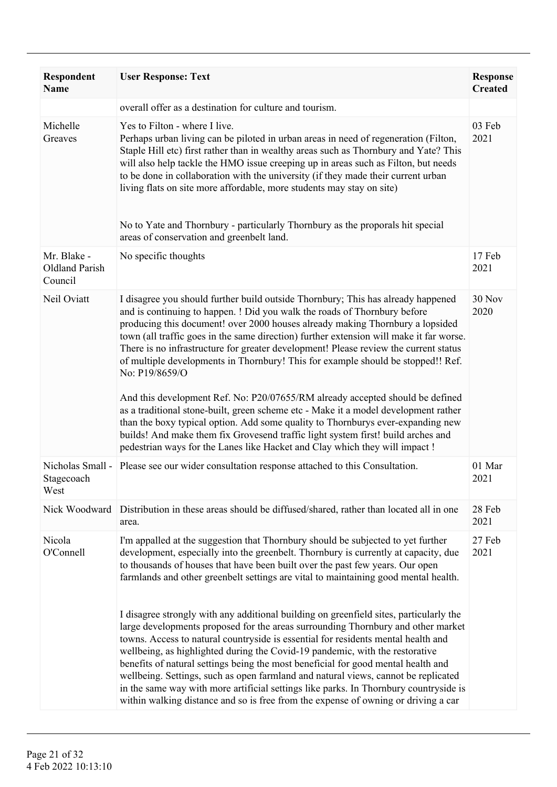| Respondent<br><b>Name</b>                       | <b>User Response: Text</b>                                                                                                                                                                                                                                                                                                                                                                                                                                                                                                                                                                                                                                                                                                                                                                                                                                                                                                                                                                                                                                   | <b>Response</b><br><b>Created</b> |
|-------------------------------------------------|--------------------------------------------------------------------------------------------------------------------------------------------------------------------------------------------------------------------------------------------------------------------------------------------------------------------------------------------------------------------------------------------------------------------------------------------------------------------------------------------------------------------------------------------------------------------------------------------------------------------------------------------------------------------------------------------------------------------------------------------------------------------------------------------------------------------------------------------------------------------------------------------------------------------------------------------------------------------------------------------------------------------------------------------------------------|-----------------------------------|
|                                                 | overall offer as a destination for culture and tourism.                                                                                                                                                                                                                                                                                                                                                                                                                                                                                                                                                                                                                                                                                                                                                                                                                                                                                                                                                                                                      |                                   |
| Michelle<br>Greaves                             | Yes to Filton - where I live.<br>Perhaps urban living can be piloted in urban areas in need of regeneration (Filton,<br>Staple Hill etc) first rather than in wealthy areas such as Thornbury and Yate? This<br>will also help tackle the HMO issue creeping up in areas such as Filton, but needs<br>to be done in collaboration with the university (if they made their current urban<br>living flats on site more affordable, more students may stay on site)<br>No to Yate and Thornbury - particularly Thornbury as the proporals hit special<br>areas of conservation and greenbelt land.                                                                                                                                                                                                                                                                                                                                                                                                                                                              | 03 Feb<br>2021                    |
| Mr. Blake -<br><b>Oldland Parish</b><br>Council | No specific thoughts                                                                                                                                                                                                                                                                                                                                                                                                                                                                                                                                                                                                                                                                                                                                                                                                                                                                                                                                                                                                                                         | 17 Feb<br>2021                    |
| Neil Oviatt                                     | I disagree you should further build outside Thornbury; This has already happened<br>and is continuing to happen. ! Did you walk the roads of Thornbury before<br>producing this document! over 2000 houses already making Thornbury a lopsided<br>town (all traffic goes in the same direction) further extension will make it far worse.<br>There is no infrastructure for greater development! Please review the current status<br>of multiple developments in Thornbury! This for example should be stopped!! Ref.<br>No: P19/8659/O<br>And this development Ref. No: P20/07655/RM already accepted should be defined<br>as a traditional stone-built, green scheme etc - Make it a model development rather<br>than the boxy typical option. Add some quality to Thornburys ever-expanding new<br>builds! And make them fix Grovesend traffic light system first! build arches and<br>pedestrian ways for the Lanes like Hacket and Clay which they will impact !                                                                                        | 30 Nov<br>2020                    |
| Nicholas Small -<br>Stagecoach<br>West          | Please see our wider consultation response attached to this Consultation.                                                                                                                                                                                                                                                                                                                                                                                                                                                                                                                                                                                                                                                                                                                                                                                                                                                                                                                                                                                    | 01 Mar<br>2021                    |
|                                                 | Nick Woodward Distribution in these areas should be diffused/shared, rather than located all in one<br>area.                                                                                                                                                                                                                                                                                                                                                                                                                                                                                                                                                                                                                                                                                                                                                                                                                                                                                                                                                 | 28 Feb<br>2021                    |
| Nicola<br>O'Connell                             | I'm appalled at the suggestion that Thornbury should be subjected to yet further<br>development, especially into the greenbelt. Thornbury is currently at capacity, due<br>to thousands of houses that have been built over the past few years. Our open<br>farmlands and other greenbelt settings are vital to maintaining good mental health.<br>I disagree strongly with any additional building on greenfield sites, particularly the<br>large developments proposed for the areas surrounding Thornbury and other market<br>towns. Access to natural countryside is essential for residents mental health and<br>wellbeing, as highlighted during the Covid-19 pandemic, with the restorative<br>benefits of natural settings being the most beneficial for good mental health and<br>wellbeing. Settings, such as open farmland and natural views, cannot be replicated<br>in the same way with more artificial settings like parks. In Thornbury countryside is<br>within walking distance and so is free from the expense of owning or driving a car | 27 Feb<br>2021                    |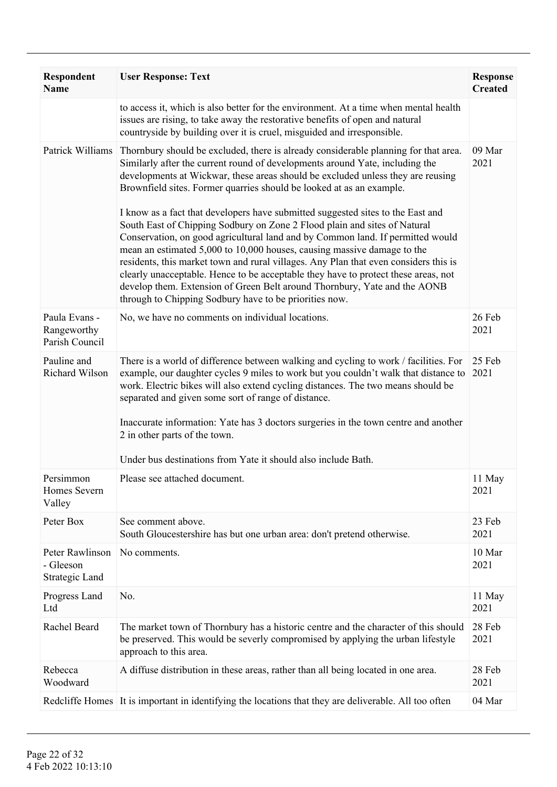| Respondent<br><b>Name</b>                      | <b>User Response: Text</b>                                                                                                                                                                                                                                                                                                                                                                                                                                                                                                                                                                                                                                                                                                                                                                                                                                                                                                                                                       | <b>Response</b><br><b>Created</b> |
|------------------------------------------------|----------------------------------------------------------------------------------------------------------------------------------------------------------------------------------------------------------------------------------------------------------------------------------------------------------------------------------------------------------------------------------------------------------------------------------------------------------------------------------------------------------------------------------------------------------------------------------------------------------------------------------------------------------------------------------------------------------------------------------------------------------------------------------------------------------------------------------------------------------------------------------------------------------------------------------------------------------------------------------|-----------------------------------|
|                                                | to access it, which is also better for the environment. At a time when mental health<br>issues are rising, to take away the restorative benefits of open and natural<br>countryside by building over it is cruel, misguided and irresponsible.                                                                                                                                                                                                                                                                                                                                                                                                                                                                                                                                                                                                                                                                                                                                   |                                   |
| Patrick Williams                               | Thornbury should be excluded, there is already considerable planning for that area.<br>Similarly after the current round of developments around Yate, including the<br>developments at Wickwar, these areas should be excluded unless they are reusing<br>Brownfield sites. Former quarries should be looked at as an example.<br>I know as a fact that developers have submitted suggested sites to the East and<br>South East of Chipping Sodbury on Zone 2 Flood plain and sites of Natural<br>Conservation, on good agricultural land and by Common land. If permitted would<br>mean an estimated 5,000 to 10,000 houses, causing massive damage to the<br>residents, this market town and rural villages. Any Plan that even considers this is<br>clearly unacceptable. Hence to be acceptable they have to protect these areas, not<br>develop them. Extension of Green Belt around Thornbury, Yate and the AONB<br>through to Chipping Sodbury have to be priorities now. | 09 Mar<br>2021                    |
| Paula Evans -<br>Rangeworthy<br>Parish Council | No, we have no comments on individual locations.                                                                                                                                                                                                                                                                                                                                                                                                                                                                                                                                                                                                                                                                                                                                                                                                                                                                                                                                 | 26 Feb<br>2021                    |
| Pauline and<br>Richard Wilson                  | There is a world of difference between walking and cycling to work / facilities. For<br>example, our daughter cycles 9 miles to work but you couldn't walk that distance to<br>work. Electric bikes will also extend cycling distances. The two means should be<br>separated and given some sort of range of distance.<br>Inaccurate information: Yate has 3 doctors surgeries in the town centre and another<br>2 in other parts of the town.<br>Under bus destinations from Yate it should also include Bath.                                                                                                                                                                                                                                                                                                                                                                                                                                                                  | 25 Feb<br>2021                    |
| Persimmon<br>Homes Severn<br>Valley            | Please see attached document.                                                                                                                                                                                                                                                                                                                                                                                                                                                                                                                                                                                                                                                                                                                                                                                                                                                                                                                                                    | 11 May<br>2021                    |
| Peter Box                                      | See comment above.<br>South Gloucestershire has but one urban area: don't pretend otherwise.                                                                                                                                                                                                                                                                                                                                                                                                                                                                                                                                                                                                                                                                                                                                                                                                                                                                                     | 23 Feb<br>2021                    |
| Peter Rawlinson<br>- Gleeson<br>Strategic Land | No comments.                                                                                                                                                                                                                                                                                                                                                                                                                                                                                                                                                                                                                                                                                                                                                                                                                                                                                                                                                                     | 10 Mar<br>2021                    |
| Progress Land<br>Ltd                           | No.                                                                                                                                                                                                                                                                                                                                                                                                                                                                                                                                                                                                                                                                                                                                                                                                                                                                                                                                                                              | 11 May<br>2021                    |
| Rachel Beard                                   | The market town of Thornbury has a historic centre and the character of this should<br>be preserved. This would be severly compromised by applying the urban lifestyle<br>approach to this area.                                                                                                                                                                                                                                                                                                                                                                                                                                                                                                                                                                                                                                                                                                                                                                                 | 28 Feb<br>2021                    |
| Rebecca<br>Woodward                            | A diffuse distribution in these areas, rather than all being located in one area.                                                                                                                                                                                                                                                                                                                                                                                                                                                                                                                                                                                                                                                                                                                                                                                                                                                                                                | 28 Feb<br>2021                    |
|                                                | Redcliffe Homes It is important in identifying the locations that they are deliverable. All too often                                                                                                                                                                                                                                                                                                                                                                                                                                                                                                                                                                                                                                                                                                                                                                                                                                                                            | 04 Mar                            |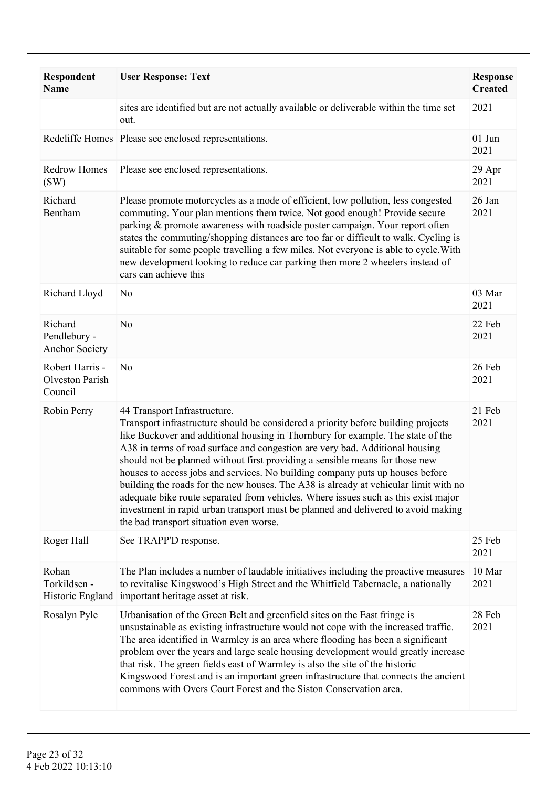| <b>Respondent</b><br><b>Name</b>                 | <b>User Response: Text</b>                                                                                                                                                                                                                                                                                                                                                                                                                                                                                                                                                                                                                                                                                                                                          | <b>Response</b><br><b>Created</b> |
|--------------------------------------------------|---------------------------------------------------------------------------------------------------------------------------------------------------------------------------------------------------------------------------------------------------------------------------------------------------------------------------------------------------------------------------------------------------------------------------------------------------------------------------------------------------------------------------------------------------------------------------------------------------------------------------------------------------------------------------------------------------------------------------------------------------------------------|-----------------------------------|
|                                                  | sites are identified but are not actually available or deliverable within the time set<br>out.                                                                                                                                                                                                                                                                                                                                                                                                                                                                                                                                                                                                                                                                      | 2021                              |
|                                                  | Redcliffe Homes Please see enclosed representations.                                                                                                                                                                                                                                                                                                                                                                                                                                                                                                                                                                                                                                                                                                                | $01$ Jun<br>2021                  |
| Redrow Homes<br>(SW)                             | Please see enclosed representations.                                                                                                                                                                                                                                                                                                                                                                                                                                                                                                                                                                                                                                                                                                                                | 29 Apr<br>2021                    |
| Richard<br>Bentham                               | Please promote motorcycles as a mode of efficient, low pollution, less congested<br>commuting. Your plan mentions them twice. Not good enough! Provide secure<br>parking & promote awareness with roadside poster campaign. Your report often<br>states the commuting/shopping distances are too far or difficult to walk. Cycling is<br>suitable for some people travelling a few miles. Not everyone is able to cycle. With<br>new development looking to reduce car parking then more 2 wheelers instead of<br>cars can achieve this                                                                                                                                                                                                                             | 26 Jan<br>2021                    |
| Richard Lloyd                                    | N <sub>0</sub>                                                                                                                                                                                                                                                                                                                                                                                                                                                                                                                                                                                                                                                                                                                                                      | 03 Mar<br>2021                    |
| Richard<br>Pendlebury -<br><b>Anchor Society</b> | N <sub>0</sub>                                                                                                                                                                                                                                                                                                                                                                                                                                                                                                                                                                                                                                                                                                                                                      | 22 Feb<br>2021                    |
| Robert Harris -<br>Olveston Parish<br>Council    | N <sub>0</sub>                                                                                                                                                                                                                                                                                                                                                                                                                                                                                                                                                                                                                                                                                                                                                      | 26 Feb<br>2021                    |
| Robin Perry                                      | 44 Transport Infrastructure.<br>Transport infrastructure should be considered a priority before building projects<br>like Buckover and additional housing in Thornbury for example. The state of the<br>A38 in terms of road surface and congestion are very bad. Additional housing<br>should not be planned without first providing a sensible means for those new<br>houses to access jobs and services. No building company puts up houses before<br>building the roads for the new houses. The A38 is already at vehicular limit with no<br>adequate bike route separated from vehicles. Where issues such as this exist major<br>investment in rapid urban transport must be planned and delivered to avoid making<br>the bad transport situation even worse. | 21 Feb<br>2021                    |
| Roger Hall                                       | See TRAPP'D response.                                                                                                                                                                                                                                                                                                                                                                                                                                                                                                                                                                                                                                                                                                                                               | 25 Feb<br>2021                    |
| Rohan<br>Torkildsen -<br>Historic England        | The Plan includes a number of laudable initiatives including the proactive measures<br>to revitalise Kingswood's High Street and the Whitfield Tabernacle, a nationally<br>important heritage asset at risk.                                                                                                                                                                                                                                                                                                                                                                                                                                                                                                                                                        | 10 Mar<br>2021                    |
| Rosalyn Pyle                                     | Urbanisation of the Green Belt and greenfield sites on the East fringe is<br>unsustainable as existing infrastructure would not cope with the increased traffic.<br>The area identified in Warmley is an area where flooding has been a significant<br>problem over the years and large scale housing development would greatly increase<br>that risk. The green fields east of Warmley is also the site of the historic<br>Kingswood Forest and is an important green infrastructure that connects the ancient<br>commons with Overs Court Forest and the Siston Conservation area.                                                                                                                                                                                | 28 Feb<br>2021                    |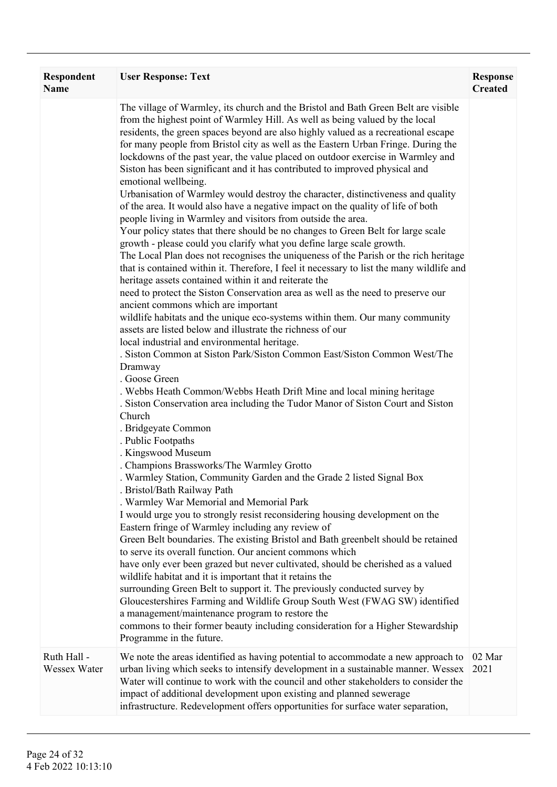| Respondent<br><b>Name</b>   | <b>User Response: Text</b>                                                                                                                                                                                                                                                                                                                                                                                                                                                                                                                                                                                                                                                                                                                                                                                                                                                                                                                                                                                                                                                                                                                                                                                                                                                                                                                                                                                                                                                                                                                                                                                                                                                                                                                                                                                                                                                                                                                                                                                                                                                                                                                                                                                                                                                                                                                                                                                                                                                                                                                                                                                                                                                                                                                                                                                   | <b>Response</b><br><b>Created</b> |
|-----------------------------|--------------------------------------------------------------------------------------------------------------------------------------------------------------------------------------------------------------------------------------------------------------------------------------------------------------------------------------------------------------------------------------------------------------------------------------------------------------------------------------------------------------------------------------------------------------------------------------------------------------------------------------------------------------------------------------------------------------------------------------------------------------------------------------------------------------------------------------------------------------------------------------------------------------------------------------------------------------------------------------------------------------------------------------------------------------------------------------------------------------------------------------------------------------------------------------------------------------------------------------------------------------------------------------------------------------------------------------------------------------------------------------------------------------------------------------------------------------------------------------------------------------------------------------------------------------------------------------------------------------------------------------------------------------------------------------------------------------------------------------------------------------------------------------------------------------------------------------------------------------------------------------------------------------------------------------------------------------------------------------------------------------------------------------------------------------------------------------------------------------------------------------------------------------------------------------------------------------------------------------------------------------------------------------------------------------------------------------------------------------------------------------------------------------------------------------------------------------------------------------------------------------------------------------------------------------------------------------------------------------------------------------------------------------------------------------------------------------------------------------------------------------------------------------------------------------|-----------------------------------|
|                             | The village of Warmley, its church and the Bristol and Bath Green Belt are visible<br>from the highest point of Warmley Hill. As well as being valued by the local<br>residents, the green spaces beyond are also highly valued as a recreational escape<br>for many people from Bristol city as well as the Eastern Urban Fringe. During the<br>lockdowns of the past year, the value placed on outdoor exercise in Warmley and<br>Siston has been significant and it has contributed to improved physical and<br>emotional wellbeing.<br>Urbanisation of Warmley would destroy the character, distinctiveness and quality<br>of the area. It would also have a negative impact on the quality of life of both<br>people living in Warmley and visitors from outside the area.<br>Your policy states that there should be no changes to Green Belt for large scale<br>growth - please could you clarify what you define large scale growth.<br>The Local Plan does not recognises the uniqueness of the Parish or the rich heritage<br>that is contained within it. Therefore, I feel it necessary to list the many wildlife and<br>heritage assets contained within it and reiterate the<br>need to protect the Siston Conservation area as well as the need to preserve our<br>ancient commons which are important<br>wildlife habitats and the unique eco-systems within them. Our many community<br>assets are listed below and illustrate the richness of our<br>local industrial and environmental heritage.<br>. Siston Common at Siston Park/Siston Common East/Siston Common West/The<br>Dramway<br>. Goose Green<br>. Webbs Heath Common/Webbs Heath Drift Mine and local mining heritage<br>. Siston Conservation area including the Tudor Manor of Siston Court and Siston<br>Church<br>. Bridgeyate Common<br>. Public Footpaths<br>. Kingswood Museum<br>. Champions Brassworks/The Warmley Grotto<br>. Warmley Station, Community Garden and the Grade 2 listed Signal Box<br>. Bristol/Bath Railway Path<br>. Warmley War Memorial and Memorial Park<br>I would urge you to strongly resist reconsidering housing development on the<br>Eastern fringe of Warmley including any review of<br>Green Belt boundaries. The existing Bristol and Bath greenbelt should be retained<br>to serve its overall function. Our ancient commons which<br>have only ever been grazed but never cultivated, should be cherished as a valued<br>wildlife habitat and it is important that it retains the<br>surrounding Green Belt to support it. The previously conducted survey by<br>Gloucestershires Farming and Wildlife Group South West (FWAG SW) identified<br>a management/maintenance program to restore the<br>commons to their former beauty including consideration for a Higher Stewardship |                                   |
|                             | Programme in the future.                                                                                                                                                                                                                                                                                                                                                                                                                                                                                                                                                                                                                                                                                                                                                                                                                                                                                                                                                                                                                                                                                                                                                                                                                                                                                                                                                                                                                                                                                                                                                                                                                                                                                                                                                                                                                                                                                                                                                                                                                                                                                                                                                                                                                                                                                                                                                                                                                                                                                                                                                                                                                                                                                                                                                                                     |                                   |
| Ruth Hall -<br>Wessex Water | We note the areas identified as having potential to accommodate a new approach to<br>urban living which seeks to intensify development in a sustainable manner. Wessex<br>Water will continue to work with the council and other stakeholders to consider the<br>impact of additional development upon existing and planned sewerage<br>infrastructure. Redevelopment offers opportunities for surface water separation,                                                                                                                                                                                                                                                                                                                                                                                                                                                                                                                                                                                                                                                                                                                                                                                                                                                                                                                                                                                                                                                                                                                                                                                                                                                                                                                                                                                                                                                                                                                                                                                                                                                                                                                                                                                                                                                                                                                                                                                                                                                                                                                                                                                                                                                                                                                                                                                     | 02 Mar<br>2021                    |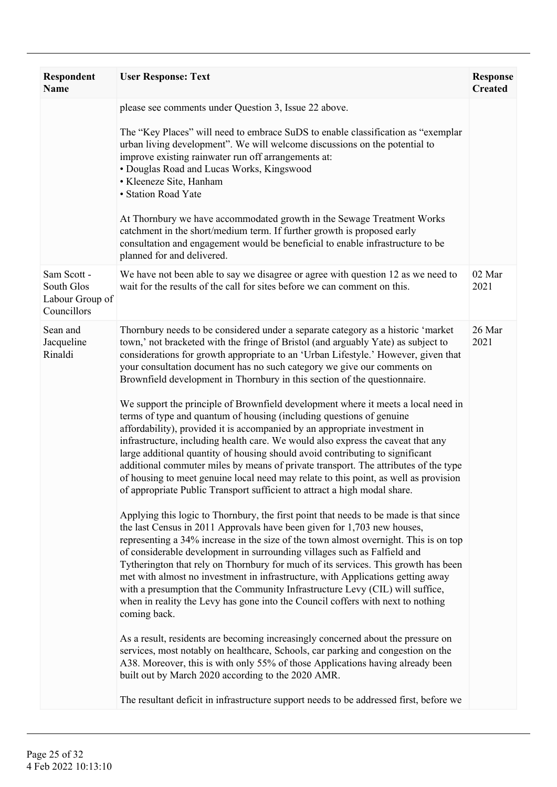| Respondent<br><b>Name</b>                                   | <b>User Response: Text</b>                                                                                                                                                                                                                                                                                                                                                                                                                                                                                                                                                                                                                                                                                                                                                                                                                                                                                                                                                                                                                                                                                                                                                                                                                                                                                                                                                                                                                                                                                                                                                                                                                                                                                                                                                                                                                                                                                                                                                                                                                                                                                                                                                                                     | <b>Response</b><br><b>Created</b> |
|-------------------------------------------------------------|----------------------------------------------------------------------------------------------------------------------------------------------------------------------------------------------------------------------------------------------------------------------------------------------------------------------------------------------------------------------------------------------------------------------------------------------------------------------------------------------------------------------------------------------------------------------------------------------------------------------------------------------------------------------------------------------------------------------------------------------------------------------------------------------------------------------------------------------------------------------------------------------------------------------------------------------------------------------------------------------------------------------------------------------------------------------------------------------------------------------------------------------------------------------------------------------------------------------------------------------------------------------------------------------------------------------------------------------------------------------------------------------------------------------------------------------------------------------------------------------------------------------------------------------------------------------------------------------------------------------------------------------------------------------------------------------------------------------------------------------------------------------------------------------------------------------------------------------------------------------------------------------------------------------------------------------------------------------------------------------------------------------------------------------------------------------------------------------------------------------------------------------------------------------------------------------------------------|-----------------------------------|
|                                                             | please see comments under Question 3, Issue 22 above.<br>The "Key Places" will need to embrace SuDS to enable classification as "exemplar<br>urban living development". We will welcome discussions on the potential to<br>improve existing rainwater run off arrangements at:<br>• Douglas Road and Lucas Works, Kingswood<br>· Kleeneze Site, Hanham<br>• Station Road Yate<br>At Thornbury we have accommodated growth in the Sewage Treatment Works<br>catchment in the short/medium term. If further growth is proposed early<br>consultation and engagement would be beneficial to enable infrastructure to be<br>planned for and delivered.                                                                                                                                                                                                                                                                                                                                                                                                                                                                                                                                                                                                                                                                                                                                                                                                                                                                                                                                                                                                                                                                                                                                                                                                                                                                                                                                                                                                                                                                                                                                                             |                                   |
| Sam Scott -<br>South Glos<br>Labour Group of<br>Councillors | We have not been able to say we disagree or agree with question 12 as we need to<br>wait for the results of the call for sites before we can comment on this.                                                                                                                                                                                                                                                                                                                                                                                                                                                                                                                                                                                                                                                                                                                                                                                                                                                                                                                                                                                                                                                                                                                                                                                                                                                                                                                                                                                                                                                                                                                                                                                                                                                                                                                                                                                                                                                                                                                                                                                                                                                  | 02 Mar<br>2021                    |
| Sean and<br>Jacqueline<br>Rinaldi                           | Thornbury needs to be considered under a separate category as a historic 'market<br>town,' not bracketed with the fringe of Bristol (and arguably Yate) as subject to<br>considerations for growth appropriate to an 'Urban Lifestyle.' However, given that<br>your consultation document has no such category we give our comments on<br>Brownfield development in Thornbury in this section of the questionnaire.<br>We support the principle of Brownfield development where it meets a local need in<br>terms of type and quantum of housing (including questions of genuine<br>affordability), provided it is accompanied by an appropriate investment in<br>infrastructure, including health care. We would also express the caveat that any<br>large additional quantity of housing should avoid contributing to significant<br>additional commuter miles by means of private transport. The attributes of the type<br>of housing to meet genuine local need may relate to this point, as well as provision<br>of appropriate Public Transport sufficient to attract a high modal share.<br>Applying this logic to Thornbury, the first point that needs to be made is that since<br>the last Census in 2011 Approvals have been given for 1,703 new houses,<br>representing a 34% increase in the size of the town almost overnight. This is on top<br>of considerable development in surrounding villages such as Falfield and<br>Tytherington that rely on Thornbury for much of its services. This growth has been<br>met with almost no investment in infrastructure, with Applications getting away<br>with a presumption that the Community Infrastructure Levy (CIL) will suffice,<br>when in reality the Levy has gone into the Council coffers with next to nothing<br>coming back.<br>As a result, residents are becoming increasingly concerned about the pressure on<br>services, most notably on healthcare, Schools, car parking and congestion on the<br>A38. Moreover, this is with only 55% of those Applications having already been<br>built out by March 2020 according to the 2020 AMR.<br>The resultant deficit in infrastructure support needs to be addressed first, before we | 26 Mar<br>2021                    |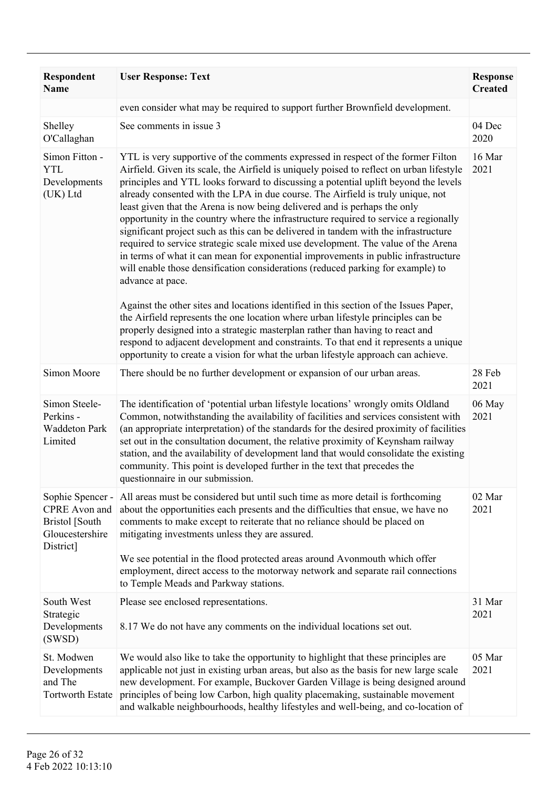| Respondent<br><b>Name</b>                                                                  | <b>User Response: Text</b>                                                                                                                                                                                                                                                                                                                                                                                                                                                                                                                                                                                                                                                                                                                                                                                                                                                                                                                                                                                                                                                                                                                                                                                                                                                                                                                     | <b>Response</b><br><b>Created</b> |
|--------------------------------------------------------------------------------------------|------------------------------------------------------------------------------------------------------------------------------------------------------------------------------------------------------------------------------------------------------------------------------------------------------------------------------------------------------------------------------------------------------------------------------------------------------------------------------------------------------------------------------------------------------------------------------------------------------------------------------------------------------------------------------------------------------------------------------------------------------------------------------------------------------------------------------------------------------------------------------------------------------------------------------------------------------------------------------------------------------------------------------------------------------------------------------------------------------------------------------------------------------------------------------------------------------------------------------------------------------------------------------------------------------------------------------------------------|-----------------------------------|
|                                                                                            | even consider what may be required to support further Brownfield development.                                                                                                                                                                                                                                                                                                                                                                                                                                                                                                                                                                                                                                                                                                                                                                                                                                                                                                                                                                                                                                                                                                                                                                                                                                                                  |                                   |
| Shelley<br>O'Callaghan                                                                     | See comments in issue 3                                                                                                                                                                                                                                                                                                                                                                                                                                                                                                                                                                                                                                                                                                                                                                                                                                                                                                                                                                                                                                                                                                                                                                                                                                                                                                                        | 04 Dec<br>2020                    |
| Simon Fitton -<br><b>YTL</b><br>Developments<br>(UK) Ltd                                   | YTL is very supportive of the comments expressed in respect of the former Filton<br>Airfield. Given its scale, the Airfield is uniquely poised to reflect on urban lifestyle<br>principles and YTL looks forward to discussing a potential uplift beyond the levels<br>already consented with the LPA in due course. The Airfield is truly unique, not<br>least given that the Arena is now being delivered and is perhaps the only<br>opportunity in the country where the infrastructure required to service a regionally<br>significant project such as this can be delivered in tandem with the infrastructure<br>required to service strategic scale mixed use development. The value of the Arena<br>in terms of what it can mean for exponential improvements in public infrastructure<br>will enable those densification considerations (reduced parking for example) to<br>advance at pace.<br>Against the other sites and locations identified in this section of the Issues Paper,<br>the Airfield represents the one location where urban lifestyle principles can be<br>properly designed into a strategic masterplan rather than having to react and<br>respond to adjacent development and constraints. To that end it represents a unique<br>opportunity to create a vision for what the urban lifestyle approach can achieve. | 16 Mar<br>2021                    |
| Simon Moore                                                                                | There should be no further development or expansion of our urban areas.                                                                                                                                                                                                                                                                                                                                                                                                                                                                                                                                                                                                                                                                                                                                                                                                                                                                                                                                                                                                                                                                                                                                                                                                                                                                        | 28 Feb<br>2021                    |
| Simon Steele-<br>Perkins -<br><b>Waddeton Park</b><br>Limited                              | The identification of 'potential urban lifestyle locations' wrongly omits Oldland<br>Common, notwithstanding the availability of facilities and services consistent with<br>(an appropriate interpretation) of the standards for the desired proximity of facilities<br>set out in the consultation document, the relative proximity of Keynsham railway<br>station, and the availability of development land that would consolidate the existing<br>community. This point is developed further in the text that precedes the<br>questionnaire in our submission.                                                                                                                                                                                                                                                                                                                                                                                                                                                                                                                                                                                                                                                                                                                                                                              | 06 May<br>2021                    |
| Sophie Spencer -<br>CPRE Avon and<br><b>Bristol</b> [South<br>Gloucestershire<br>District] | All areas must be considered but until such time as more detail is forthcoming<br>about the opportunities each presents and the difficulties that ensue, we have no<br>comments to make except to reiterate that no reliance should be placed on<br>mitigating investments unless they are assured.<br>We see potential in the flood protected areas around Avonmouth which offer<br>employment, direct access to the motorway network and separate rail connections<br>to Temple Meads and Parkway stations.                                                                                                                                                                                                                                                                                                                                                                                                                                                                                                                                                                                                                                                                                                                                                                                                                                  | 02 Mar<br>2021                    |
| South West<br>Strategic<br>Developments<br>(SWSD)                                          | Please see enclosed representations.<br>8.17 We do not have any comments on the individual locations set out.                                                                                                                                                                                                                                                                                                                                                                                                                                                                                                                                                                                                                                                                                                                                                                                                                                                                                                                                                                                                                                                                                                                                                                                                                                  | 31 Mar<br>2021                    |
| St. Modwen<br>Developments<br>and The<br><b>Tortworth Estate</b>                           | We would also like to take the opportunity to highlight that these principles are<br>applicable not just in existing urban areas, but also as the basis for new large scale<br>new development. For example, Buckover Garden Village is being designed around<br>principles of being low Carbon, high quality placemaking, sustainable movement<br>and walkable neighbourhoods, healthy lifestyles and well-being, and co-location of                                                                                                                                                                                                                                                                                                                                                                                                                                                                                                                                                                                                                                                                                                                                                                                                                                                                                                          | 05 Mar<br>2021                    |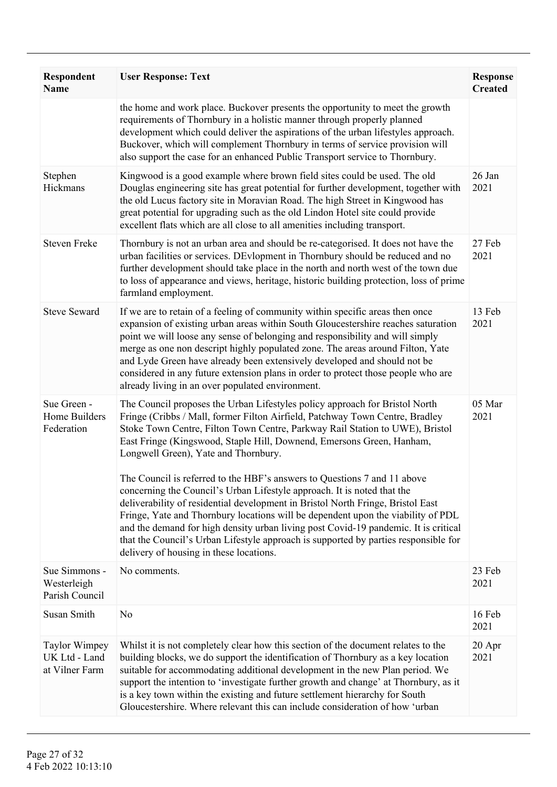| Respondent<br><b>Name</b>                               | <b>User Response: Text</b>                                                                                                                                                                                                                                                                                                                                                                                                                                                                                                                                                                                                                                                                                                                                                                                                                                                                                          | <b>Response</b><br><b>Created</b> |
|---------------------------------------------------------|---------------------------------------------------------------------------------------------------------------------------------------------------------------------------------------------------------------------------------------------------------------------------------------------------------------------------------------------------------------------------------------------------------------------------------------------------------------------------------------------------------------------------------------------------------------------------------------------------------------------------------------------------------------------------------------------------------------------------------------------------------------------------------------------------------------------------------------------------------------------------------------------------------------------|-----------------------------------|
|                                                         | the home and work place. Buckover presents the opportunity to meet the growth<br>requirements of Thornbury in a holistic manner through properly planned<br>development which could deliver the aspirations of the urban lifestyles approach.<br>Buckover, which will complement Thornbury in terms of service provision will<br>also support the case for an enhanced Public Transport service to Thornbury.                                                                                                                                                                                                                                                                                                                                                                                                                                                                                                       |                                   |
| Stephen<br>Hickmans                                     | Kingwood is a good example where brown field sites could be used. The old<br>Douglas engineering site has great potential for further development, together with<br>the old Lucus factory site in Moravian Road. The high Street in Kingwood has<br>great potential for upgrading such as the old Lindon Hotel site could provide<br>excellent flats which are all close to all amenities including transport.                                                                                                                                                                                                                                                                                                                                                                                                                                                                                                      | 26 Jan<br>2021                    |
| <b>Steven Freke</b>                                     | Thornbury is not an urban area and should be re-categorised. It does not have the<br>urban facilities or services. DEvlopment in Thornbury should be reduced and no<br>further development should take place in the north and north west of the town due<br>to loss of appearance and views, heritage, historic building protection, loss of prime<br>farmland employment.                                                                                                                                                                                                                                                                                                                                                                                                                                                                                                                                          | 27 Feb<br>2021                    |
| <b>Steve Seward</b>                                     | If we are to retain of a feeling of community within specific areas then once<br>expansion of existing urban areas within South Gloucestershire reaches saturation<br>point we will loose any sense of belonging and responsibility and will simply<br>merge as one non descript highly populated zone. The areas around Filton, Yate<br>and Lyde Green have already been extensively developed and should not be<br>considered in any future extension plans in order to protect those people who are<br>already living in an over populated environment.                                                                                                                                                                                                                                                                                                                                                          | 13 Feb<br>2021                    |
| Sue Green -<br>Home Builders<br>Federation              | The Council proposes the Urban Lifestyles policy approach for Bristol North<br>Fringe (Cribbs / Mall, former Filton Airfield, Patchway Town Centre, Bradley<br>Stoke Town Centre, Filton Town Centre, Parkway Rail Station to UWE), Bristol<br>East Fringe (Kingswood, Staple Hill, Downend, Emersons Green, Hanham,<br>Longwell Green), Yate and Thornbury.<br>The Council is referred to the HBF's answers to Questions 7 and 11 above<br>concerning the Council's Urban Lifestyle approach. It is noted that the<br>deliverability of residential development in Bristol North Fringe, Bristol East<br>Fringe, Yate and Thornbury locations will be dependent upon the viability of PDL<br>and the demand for high density urban living post Covid-19 pandemic. It is critical<br>that the Council's Urban Lifestyle approach is supported by parties responsible for<br>delivery of housing in these locations. | 05 Mar<br>2021                    |
| Sue Simmons -<br>Westerleigh<br>Parish Council          | No comments.                                                                                                                                                                                                                                                                                                                                                                                                                                                                                                                                                                                                                                                                                                                                                                                                                                                                                                        | 23 Feb<br>2021                    |
| Susan Smith                                             | N <sub>0</sub>                                                                                                                                                                                                                                                                                                                                                                                                                                                                                                                                                                                                                                                                                                                                                                                                                                                                                                      | 16 Feb<br>2021                    |
| <b>Taylor Wimpey</b><br>UK Ltd - Land<br>at Vilner Farm | Whilst it is not completely clear how this section of the document relates to the<br>building blocks, we do support the identification of Thornbury as a key location<br>suitable for accommodating additional development in the new Plan period. We<br>support the intention to 'investigate further growth and change' at Thornbury, as it<br>is a key town within the existing and future settlement hierarchy for South<br>Gloucestershire. Where relevant this can include consideration of how 'urban                                                                                                                                                                                                                                                                                                                                                                                                        | $20$ Apr<br>2021                  |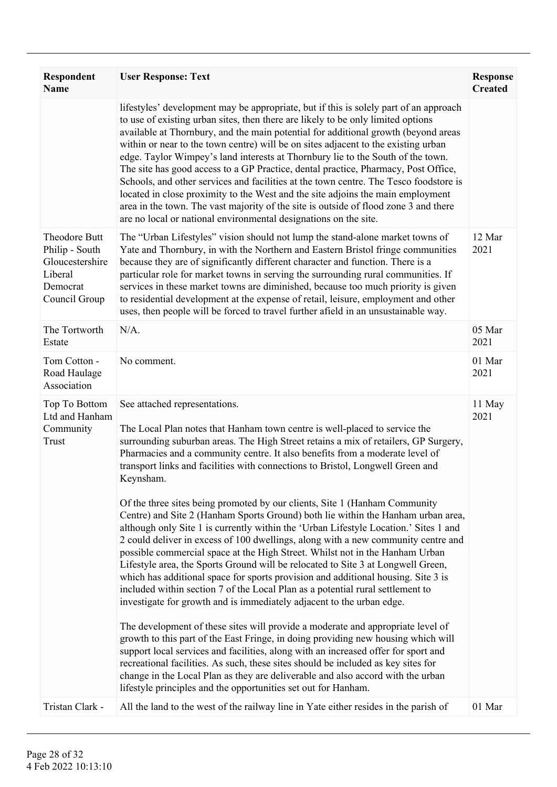| <b>Respondent</b><br><b>Name</b>                                                           | <b>User Response: Text</b>                                                                                                                                                                                                                                                                                                                                                                                                                                                                                                                                                                                                                                                                                                                                                                                                                                                                                                                                                                                                                                                                                                                                                                                                                                                                                                                                                                                                                                                                                                                                                                                                                                   | <b>Response</b><br><b>Created</b> |
|--------------------------------------------------------------------------------------------|--------------------------------------------------------------------------------------------------------------------------------------------------------------------------------------------------------------------------------------------------------------------------------------------------------------------------------------------------------------------------------------------------------------------------------------------------------------------------------------------------------------------------------------------------------------------------------------------------------------------------------------------------------------------------------------------------------------------------------------------------------------------------------------------------------------------------------------------------------------------------------------------------------------------------------------------------------------------------------------------------------------------------------------------------------------------------------------------------------------------------------------------------------------------------------------------------------------------------------------------------------------------------------------------------------------------------------------------------------------------------------------------------------------------------------------------------------------------------------------------------------------------------------------------------------------------------------------------------------------------------------------------------------------|-----------------------------------|
|                                                                                            | lifestyles' development may be appropriate, but if this is solely part of an approach<br>to use of existing urban sites, then there are likely to be only limited options<br>available at Thornbury, and the main potential for additional growth (beyond areas<br>within or near to the town centre) will be on sites adjacent to the existing urban<br>edge. Taylor Wimpey's land interests at Thornbury lie to the South of the town.<br>The site has good access to a GP Practice, dental practice, Pharmacy, Post Office,<br>Schools, and other services and facilities at the town centre. The Tesco foodstore is<br>located in close proximity to the West and the site adjoins the main employment<br>area in the town. The vast majority of the site is outside of flood zone 3 and there<br>are no local or national environmental designations on the site.                                                                                                                                                                                                                                                                                                                                                                                                                                                                                                                                                                                                                                                                                                                                                                                       |                                   |
| Theodore Butt<br>Philip - South<br>Gloucestershire<br>Liberal<br>Democrat<br>Council Group | The "Urban Lifestyles" vision should not lump the stand-alone market towns of<br>Yate and Thornbury, in with the Northern and Eastern Bristol fringe communities<br>because they are of significantly different character and function. There is a<br>particular role for market towns in serving the surrounding rural communities. If<br>services in these market towns are diminished, because too much priority is given<br>to residential development at the expense of retail, leisure, employment and other<br>uses, then people will be forced to travel further afield in an unsustainable way.                                                                                                                                                                                                                                                                                                                                                                                                                                                                                                                                                                                                                                                                                                                                                                                                                                                                                                                                                                                                                                                     | 12 Mar<br>2021                    |
| The Tortworth<br>Estate                                                                    | $N/A$ .                                                                                                                                                                                                                                                                                                                                                                                                                                                                                                                                                                                                                                                                                                                                                                                                                                                                                                                                                                                                                                                                                                                                                                                                                                                                                                                                                                                                                                                                                                                                                                                                                                                      | 05 Mar<br>2021                    |
| Tom Cotton -<br>Road Haulage<br>Association                                                | No comment.                                                                                                                                                                                                                                                                                                                                                                                                                                                                                                                                                                                                                                                                                                                                                                                                                                                                                                                                                                                                                                                                                                                                                                                                                                                                                                                                                                                                                                                                                                                                                                                                                                                  | 01 Mar<br>2021                    |
| Top To Bottom<br>Ltd and Hanham<br>Community<br>Trust                                      | See attached representations.<br>The Local Plan notes that Hanham town centre is well-placed to service the<br>surrounding suburban areas. The High Street retains a mix of retailers, GP Surgery,<br>Pharmacies and a community centre. It also benefits from a moderate level of<br>transport links and facilities with connections to Bristol, Longwell Green and<br>Keynsham.<br>Of the three sites being promoted by our clients, Site 1 (Hanham Community<br>Centre) and Site 2 (Hanham Sports Ground) both lie within the Hanham urban area,<br>although only Site 1 is currently within the 'Urban Lifestyle Location.' Sites 1 and<br>2 could deliver in excess of 100 dwellings, along with a new community centre and<br>possible commercial space at the High Street. Whilst not in the Hanham Urban<br>Lifestyle area, the Sports Ground will be relocated to Site 3 at Longwell Green,<br>which has additional space for sports provision and additional housing. Site 3 is<br>included within section 7 of the Local Plan as a potential rural settlement to<br>investigate for growth and is immediately adjacent to the urban edge.<br>The development of these sites will provide a moderate and appropriate level of<br>growth to this part of the East Fringe, in doing providing new housing which will<br>support local services and facilities, along with an increased offer for sport and<br>recreational facilities. As such, these sites should be included as key sites for<br>change in the Local Plan as they are deliverable and also accord with the urban<br>lifestyle principles and the opportunities set out for Hanham. | 11 May<br>2021                    |
| Tristan Clark -                                                                            | All the land to the west of the railway line in Yate either resides in the parish of                                                                                                                                                                                                                                                                                                                                                                                                                                                                                                                                                                                                                                                                                                                                                                                                                                                                                                                                                                                                                                                                                                                                                                                                                                                                                                                                                                                                                                                                                                                                                                         | 01 Mar                            |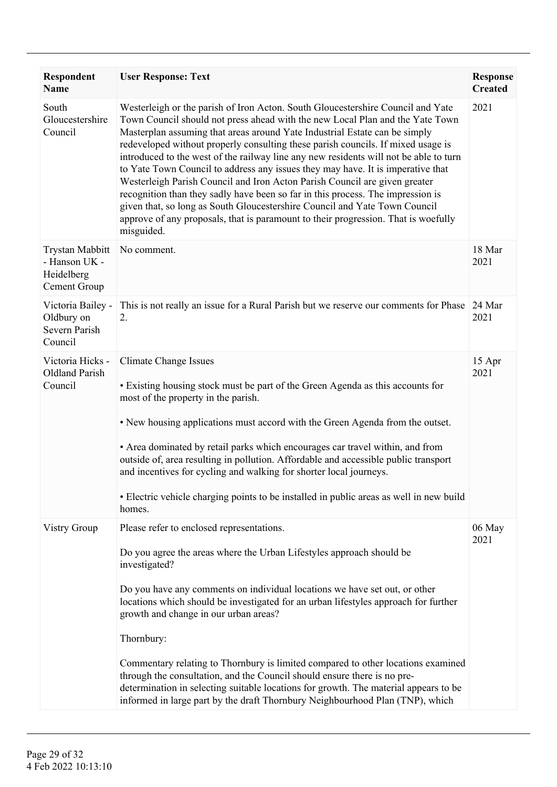| Respondent<br><b>Name</b>                                             | <b>User Response: Text</b>                                                                                                                                                                                                                                                                                                                                                                                                                                                                                                                                                                                                                                                                                                                                                                                                                                        | <b>Response</b><br><b>Created</b> |
|-----------------------------------------------------------------------|-------------------------------------------------------------------------------------------------------------------------------------------------------------------------------------------------------------------------------------------------------------------------------------------------------------------------------------------------------------------------------------------------------------------------------------------------------------------------------------------------------------------------------------------------------------------------------------------------------------------------------------------------------------------------------------------------------------------------------------------------------------------------------------------------------------------------------------------------------------------|-----------------------------------|
| South<br>Gloucestershire<br>Council                                   | Westerleigh or the parish of Iron Acton. South Gloucestershire Council and Yate<br>Town Council should not press ahead with the new Local Plan and the Yate Town<br>Masterplan assuming that areas around Yate Industrial Estate can be simply<br>redeveloped without properly consulting these parish councils. If mixed usage is<br>introduced to the west of the railway line any new residents will not be able to turn<br>to Yate Town Council to address any issues they may have. It is imperative that<br>Westerleigh Parish Council and Iron Acton Parish Council are given greater<br>recognition than they sadly have been so far in this process. The impression is<br>given that, so long as South Gloucestershire Council and Yate Town Council<br>approve of any proposals, that is paramount to their progression. That is woefully<br>misguided. | 2021                              |
| <b>Trystan Mabbitt</b><br>- Hanson UK -<br>Heidelberg<br>Cement Group | No comment.                                                                                                                                                                                                                                                                                                                                                                                                                                                                                                                                                                                                                                                                                                                                                                                                                                                       | 18 Mar<br>2021                    |
| Victoria Bailey -<br>Oldbury on<br>Severn Parish<br>Council           | This is not really an issue for a Rural Parish but we reserve our comments for Phase<br>2.                                                                                                                                                                                                                                                                                                                                                                                                                                                                                                                                                                                                                                                                                                                                                                        | 24 Mar<br>2021                    |
| Victoria Hicks -<br><b>Oldland Parish</b><br>Council                  | <b>Climate Change Issues</b><br>• Existing housing stock must be part of the Green Agenda as this accounts for<br>most of the property in the parish.<br>• New housing applications must accord with the Green Agenda from the outset.<br>• Area dominated by retail parks which encourages car travel within, and from<br>outside of, area resulting in pollution. Affordable and accessible public transport<br>and incentives for cycling and walking for shorter local journeys.<br>• Electric vehicle charging points to be installed in public areas as well in new build<br>homes.                                                                                                                                                                                                                                                                         | 15 Apr<br>2021                    |
| Vistry Group                                                          | Please refer to enclosed representations.<br>Do you agree the areas where the Urban Lifestyles approach should be<br>investigated?<br>Do you have any comments on individual locations we have set out, or other<br>locations which should be investigated for an urban lifestyles approach for further<br>growth and change in our urban areas?<br>Thornbury:<br>Commentary relating to Thornbury is limited compared to other locations examined<br>through the consultation, and the Council should ensure there is no pre-<br>determination in selecting suitable locations for growth. The material appears to be<br>informed in large part by the draft Thornbury Neighbourhood Plan (TNP), which                                                                                                                                                           | 06 May<br>2021                    |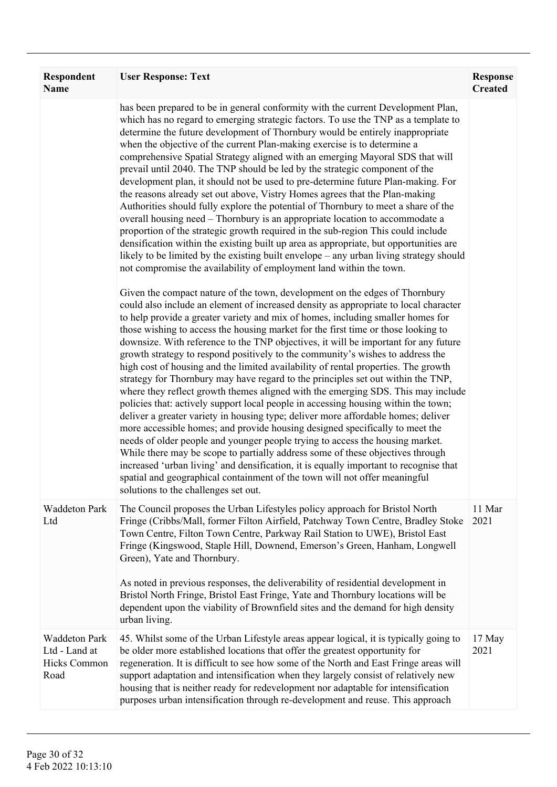| Respondent<br><b>Name</b>                                     | <b>User Response: Text</b>                                                                                                                                                                                                                                                                                                                                                                                                                                                                                                                                                                                                                                                                                                                                                                                                                                                                                                                                                                                                                                                                                                                                                                                                                                                                                                                                                                                                      | <b>Response</b><br><b>Created</b> |
|---------------------------------------------------------------|---------------------------------------------------------------------------------------------------------------------------------------------------------------------------------------------------------------------------------------------------------------------------------------------------------------------------------------------------------------------------------------------------------------------------------------------------------------------------------------------------------------------------------------------------------------------------------------------------------------------------------------------------------------------------------------------------------------------------------------------------------------------------------------------------------------------------------------------------------------------------------------------------------------------------------------------------------------------------------------------------------------------------------------------------------------------------------------------------------------------------------------------------------------------------------------------------------------------------------------------------------------------------------------------------------------------------------------------------------------------------------------------------------------------------------|-----------------------------------|
|                                                               | has been prepared to be in general conformity with the current Development Plan,<br>which has no regard to emerging strategic factors. To use the TNP as a template to<br>determine the future development of Thornbury would be entirely inappropriate<br>when the objective of the current Plan-making exercise is to determine a<br>comprehensive Spatial Strategy aligned with an emerging Mayoral SDS that will<br>prevail until 2040. The TNP should be led by the strategic component of the<br>development plan, it should not be used to pre-determine future Plan-making. For<br>the reasons already set out above, Vistry Homes agrees that the Plan-making<br>Authorities should fully explore the potential of Thornbury to meet a share of the<br>overall housing need – Thornbury is an appropriate location to accommodate a<br>proportion of the strategic growth required in the sub-region This could include<br>densification within the existing built up area as appropriate, but opportunities are<br>likely to be limited by the existing built envelope – any urban living strategy should<br>not compromise the availability of employment land within the town.                                                                                                                                                                                                                                      |                                   |
|                                                               | Given the compact nature of the town, development on the edges of Thornbury<br>could also include an element of increased density as appropriate to local character<br>to help provide a greater variety and mix of homes, including smaller homes for<br>those wishing to access the housing market for the first time or those looking to<br>downsize. With reference to the TNP objectives, it will be important for any future<br>growth strategy to respond positively to the community's wishes to address the<br>high cost of housing and the limited availability of rental properties. The growth<br>strategy for Thornbury may have regard to the principles set out within the TNP,<br>where they reflect growth themes aligned with the emerging SDS. This may include<br>policies that: actively support local people in accessing housing within the town;<br>deliver a greater variety in housing type; deliver more affordable homes; deliver<br>more accessible homes; and provide housing designed specifically to meet the<br>needs of older people and younger people trying to access the housing market.<br>While there may be scope to partially address some of these objectives through<br>increased 'urban living' and densification, it is equally important to recognise that<br>spatial and geographical containment of the town will not offer meaningful<br>solutions to the challenges set out. |                                   |
| <b>Waddeton Park</b><br>Ltd                                   | The Council proposes the Urban Lifestyles policy approach for Bristol North<br>Fringe (Cribbs/Mall, former Filton Airfield, Patchway Town Centre, Bradley Stoke<br>Town Centre, Filton Town Centre, Parkway Rail Station to UWE), Bristol East<br>Fringe (Kingswood, Staple Hill, Downend, Emerson's Green, Hanham, Longwell<br>Green), Yate and Thornbury.<br>As noted in previous responses, the deliverability of residential development in<br>Bristol North Fringe, Bristol East Fringe, Yate and Thornbury locations will be<br>dependent upon the viability of Brownfield sites and the demand for high density<br>urban living.                                                                                                                                                                                                                                                                                                                                                                                                                                                                                                                                                                                                                                                                                                                                                                                         | 11 Mar<br>2021                    |
| <b>Waddeton Park</b><br>Ltd - Land at<br>Hicks Common<br>Road | 45. Whilst some of the Urban Lifestyle areas appear logical, it is typically going to<br>be older more established locations that offer the greatest opportunity for<br>regeneration. It is difficult to see how some of the North and East Fringe areas will<br>support adaptation and intensification when they largely consist of relatively new<br>housing that is neither ready for redevelopment nor adaptable for intensification<br>purposes urban intensification through re-development and reuse. This approach                                                                                                                                                                                                                                                                                                                                                                                                                                                                                                                                                                                                                                                                                                                                                                                                                                                                                                      | 17 May<br>2021                    |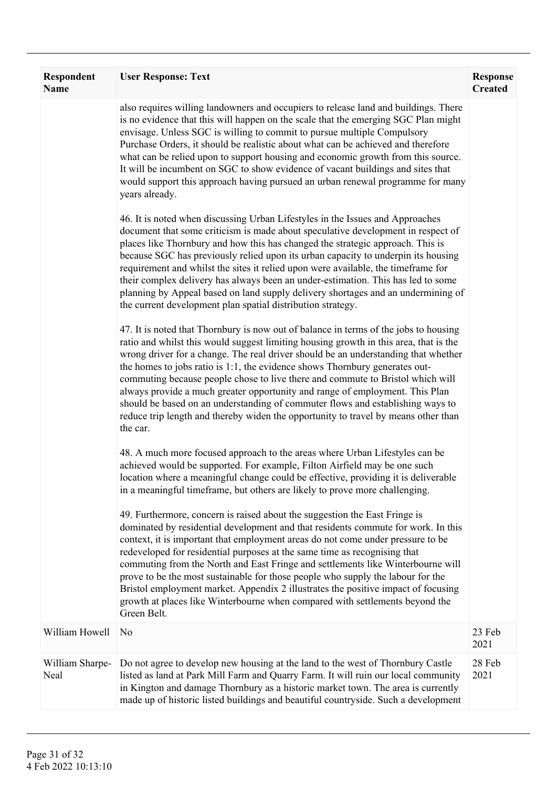| Respondent<br><b>Name</b> | <b>User Response: Text</b>                                                                                                                                                                                                                                                                                                                                                                                                                                                                                                                                                                                                                                                                                                                                                                                                                                                                                                                                                                                                                                                                                                                                                                                                                                                                  | <b>Response</b><br><b>Created</b> |
|---------------------------|---------------------------------------------------------------------------------------------------------------------------------------------------------------------------------------------------------------------------------------------------------------------------------------------------------------------------------------------------------------------------------------------------------------------------------------------------------------------------------------------------------------------------------------------------------------------------------------------------------------------------------------------------------------------------------------------------------------------------------------------------------------------------------------------------------------------------------------------------------------------------------------------------------------------------------------------------------------------------------------------------------------------------------------------------------------------------------------------------------------------------------------------------------------------------------------------------------------------------------------------------------------------------------------------|-----------------------------------|
|                           | also requires willing landowners and occupiers to release land and buildings. There<br>is no evidence that this will happen on the scale that the emerging SGC Plan might<br>envisage. Unless SGC is willing to commit to pursue multiple Compulsory<br>Purchase Orders, it should be realistic about what can be achieved and therefore<br>what can be relied upon to support housing and economic growth from this source.<br>It will be incumbent on SGC to show evidence of vacant buildings and sites that<br>would support this approach having pursued an urban renewal programme for many<br>years already.<br>46. It is noted when discussing Urban Lifestyles in the Issues and Approaches<br>document that some criticism is made about speculative development in respect of<br>places like Thornbury and how this has changed the strategic approach. This is<br>because SGC has previously relied upon its urban capacity to underpin its housing<br>requirement and whilst the sites it relied upon were available, the timeframe for<br>their complex delivery has always been an under-estimation. This has led to some<br>planning by Appeal based on land supply delivery shortages and an undermining of<br>the current development plan spatial distribution strategy. |                                   |
|                           | 47. It is noted that Thornbury is now out of balance in terms of the jobs to housing<br>ratio and whilst this would suggest limiting housing growth in this area, that is the<br>wrong driver for a change. The real driver should be an understanding that whether<br>the homes to jobs ratio is 1:1, the evidence shows Thornbury generates out-<br>commuting because people chose to live there and commute to Bristol which will<br>always provide a much greater opportunity and range of employment. This Plan<br>should be based on an understanding of commuter flows and establishing ways to<br>reduce trip length and thereby widen the opportunity to travel by means other than<br>the car.                                                                                                                                                                                                                                                                                                                                                                                                                                                                                                                                                                                    |                                   |
|                           | 48. A much more focused approach to the areas where Urban Lifestyles can be<br>achieved would be supported. For example, Filton Airfield may be one such<br>location where a meaningful change could be effective, providing it is deliverable<br>in a meaningful timeframe, but others are likely to prove more challenging.<br>49. Furthermore, concern is raised about the suggestion the East Fringe is<br>dominated by residential development and that residents commute for work. In this<br>context, it is important that employment areas do not come under pressure to be<br>redeveloped for residential purposes at the same time as recognising that<br>commuting from the North and East Fringe and settlements like Winterbourne will<br>prove to be the most sustainable for those people who supply the labour for the<br>Bristol employment market. Appendix 2 illustrates the positive impact of focusing<br>growth at places like Winterbourne when compared with settlements beyond the<br>Green Belt.                                                                                                                                                                                                                                                                  |                                   |
| William Howell            | N <sub>0</sub>                                                                                                                                                                                                                                                                                                                                                                                                                                                                                                                                                                                                                                                                                                                                                                                                                                                                                                                                                                                                                                                                                                                                                                                                                                                                              | 23 Feb<br>2021                    |
| William Sharpe-<br>Neal   | Do not agree to develop new housing at the land to the west of Thornbury Castle<br>listed as land at Park Mill Farm and Quarry Farm. It will ruin our local community<br>in Kington and damage Thornbury as a historic market town. The area is currently<br>made up of historic listed buildings and beautiful countryside. Such a development                                                                                                                                                                                                                                                                                                                                                                                                                                                                                                                                                                                                                                                                                                                                                                                                                                                                                                                                             | 28 Feb<br>2021                    |